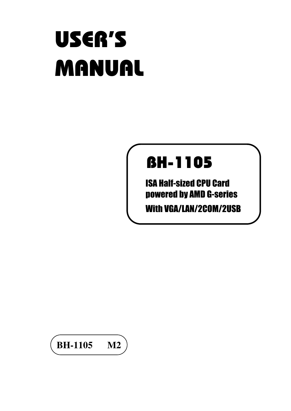# USER'S MANUAL

# BH-1105

ISA Half-sized CPU Card powered by AMD G-series With VGA/LAN/2COM/2USB

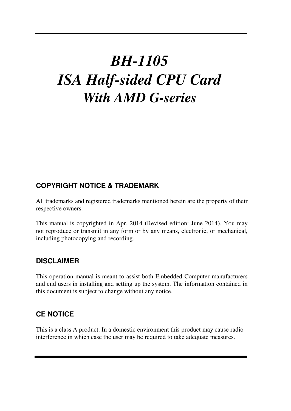## *BH-1105 ISA Half-sided CPU Card With AMD G-series*

#### **COPYRIGHT NOTICE & TRADEMARK**

All trademarks and registered trademarks mentioned herein are the property of their respective owners.

This manual is copyrighted in Apr. 2014 (Revised edition: June 2014). You may not reproduce or transmit in any form or by any means, electronic, or mechanical, including photocopying and recording.

#### **DISCLAIMER**

This operation manual is meant to assist both Embedded Computer manufacturers and end users in installing and setting up the system. The information contained in this document is subject to change without any notice.

#### **CE NOTICE**

Ξ

This is a class A product. In a domestic environment this product may cause radio interference in which case the user may be required to take adequate measures.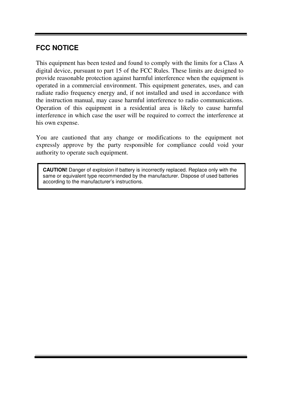#### **FCC NOTICE**

Ξ

This equipment has been tested and found to comply with the limits for a Class A digital device, pursuant to part 15 of the FCC Rules. These limits are designed to provide reasonable protection against harmful interference when the equipment is operated in a commercial environment. This equipment generates, uses, and can radiate radio frequency energy and, if not installed and used in accordance with the instruction manual, may cause harmful interference to radio communications. Operation of this equipment in a residential area is likely to cause harmful interference in which case the user will be required to correct the interference at his own expense.

You are cautioned that any change or modifications to the equipment not expressly approve by the party responsible for compliance could void your authority to operate such equipment.

**CAUTION!** Danger of explosion if battery is incorrectly replaced. Replace only with the same or equivalent type recommended by the manufacturer. Dispose of used batteries according to the manufacturer's instructions.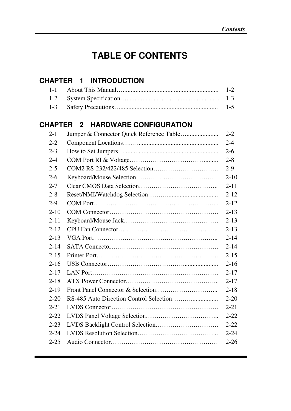## **TABLE OF CONTENTS**

#### **CHAPTER 1 INTRODUCTION**

Ξ

#### **CHAPTER 2 HARDWARE CONFIGURATION**

| $2 - 1$  | $2 - 2$  |
|----------|----------|
| $2 - 2$  | $2 - 4$  |
| $2 - 3$  | $2 - 6$  |
| $2 - 4$  | $2 - 8$  |
| $2 - 5$  | $2-9$    |
| $2-6$    | $2 - 10$ |
| $2 - 7$  | $2 - 11$ |
| $2 - 8$  | $2 - 12$ |
| $2-9$    | $2 - 12$ |
| $2 - 10$ | $2 - 13$ |
| $2 - 11$ | $2 - 13$ |
| $2 - 12$ | $2 - 13$ |
| $2 - 13$ | $2 - 14$ |
| $2 - 14$ | $2 - 14$ |
| $2 - 15$ | $2 - 15$ |
| $2 - 16$ | $2 - 16$ |
| $2 - 17$ | $2 - 17$ |
| $2 - 18$ | $2 - 17$ |
| $2 - 19$ | $2 - 18$ |
| $2 - 20$ | $2 - 20$ |
| $2 - 21$ | $2 - 21$ |
| $2 - 22$ | $2 - 22$ |
| $2 - 23$ | $2 - 22$ |
| $2 - 24$ | $2 - 24$ |
| $2 - 25$ | $2 - 26$ |
|          |          |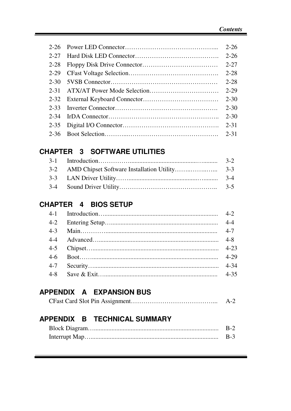| $2 - 26$ | $2 - 26$ |
|----------|----------|
| $2 - 27$ | $2 - 26$ |
| $2 - 28$ | $2 - 27$ |
| $2 - 29$ | $2 - 28$ |
| 2-30     | $2 - 28$ |
| 2-31     | $2 - 29$ |
|          | $2 - 30$ |
| 2-33     | $2 - 30$ |
| 2-34     | $2 - 30$ |
| $2 - 35$ | $2 - 31$ |
| $2 - 36$ | $2 - 31$ |

### **CHAPTER 3 SOFTWARE UTILITIES**

|  | $3-2$ |
|--|-------|
|  |       |
|  |       |
|  | $3-5$ |

#### **CHAPTER 4 BIOS SETUP**

|         | $4-2$    |
|---------|----------|
| $4 - 2$ |          |
| $4 - 3$ |          |
|         | $4 - 8$  |
|         | $4 - 23$ |
| $4-6$   | $4-29$   |
|         | $4 - 34$ |
| $4 - 8$ |          |

## **APPENDIX A EXPANSION BUS**

Ξ

|  | $A-2$ |
|--|-------|
|--|-------|

## **APPENDIX B TECHNICAL SUMMARY**

|  | B-2. |
|--|------|
|  | B-3. |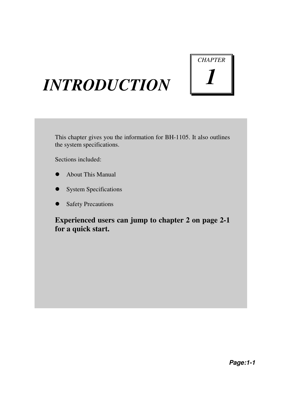# *CHAPTER 1*

## *INTRODUCTION*

This chapter gives you the information for BH-1105. It also outlines the system specifications.

Sections included:

- About This Manual
- System Specifications
- Safety Precautions

**Experienced users can jump to chapter 2 on page 2-1 for a quick start.**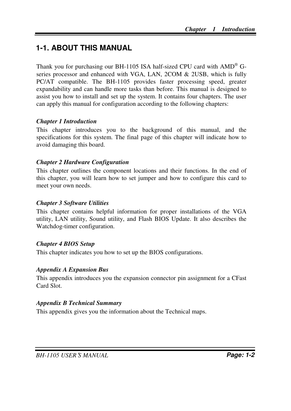## **1-1. ABOUT THIS MANUAL**

Thank you for purchasing our BH-1105 ISA half-sized CPU card with AMD<sup>®</sup> Gseries processor and enhanced with VGA, LAN, 2COM & 2USB, which is fully PC/AT compatible. The BH-1105 provides faster processing speed, greater expandability and can handle more tasks than before. This manual is designed to assist you how to install and set up the system. It contains four chapters. The user can apply this manual for configuration according to the following chapters:

#### *Chapter 1 Introduction*

This chapter introduces you to the background of this manual, and the specifications for this system. The final page of this chapter will indicate how to avoid damaging this board.

#### *Chapter 2 Hardware Configuration*

This chapter outlines the component locations and their functions. In the end of this chapter, you will learn how to set jumper and how to configure this card to meet your own needs.

#### *Chapter 3 Software Utilities*

This chapter contains helpful information for proper installations of the VGA utility, LAN utility, Sound utility, and Flash BIOS Update. It also describes the Watchdog-timer configuration.

#### *Chapter 4 BIOS Setup*

This chapter indicates you how to set up the BIOS configurations.

#### *Appendix A Expansion Bus*

This appendix introduces you the expansion connector pin assignment for a CFast Card Slot.

#### *Appendix B Technical Summary*

This appendix gives you the information about the Technical maps.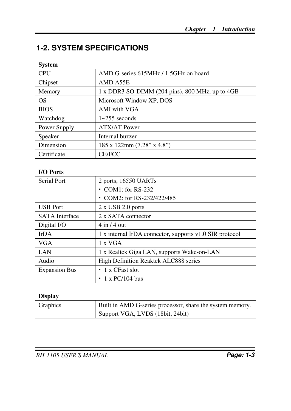## **1-2. SYSTEM SPECIFICATIONS**

#### **System**

| <b>CPU</b>   | AMD G-series 615MHz / 1.5GHz on board           |
|--------------|-------------------------------------------------|
| Chipset      | AMD A55E                                        |
| Memory       | 1 x DDR3 SO-DIMM (204 pins), 800 MHz, up to 4GB |
| OS           | Microsoft Window XP, DOS                        |
| <b>BIOS</b>  | AMI with VGA                                    |
| Watchdog     | $1 \sim 255$ seconds                            |
| Power Supply | <b>ATX/AT Power</b>                             |
| Speaker      | Internal buzzer                                 |
| Dimension    | 185 x 122mm (7.28" x 4.8")                      |
| Certificate  | <b>CE/FCC</b>                                   |

#### **I/O Ports**

| Serial Port           | 2 ports, 16550 UARTs                                    |
|-----------------------|---------------------------------------------------------|
|                       | $\cdot$ COM1: for RS-232                                |
|                       | • COM2: for RS-232/422/485                              |
| <b>USB</b> Port       | $2 \times$ USB 2.0 ports                                |
| <b>SATA</b> Interface | 2 x SATA connector                                      |
| Digital I/O           | $4 \text{ in } 4$ out                                   |
| IrDA                  | 1 x internal IrDA connector, supports v1.0 SIR protocol |
| <b>VGA</b>            | 1 x VGA                                                 |
| LAN                   | 1 x Realtek Giga LAN, supports Wake-on-LAN              |
| Audio                 | High Definition Reaktek ALC888 series                   |
| <b>Expansion Bus</b>  | $\cdot$ 1 x CFast slot                                  |
|                       | $1 \times PC/104$ bus<br>٠                              |

#### **Display**

| <b>Graphics</b> | Built in AMD G-series processor, share the system memory. |
|-----------------|-----------------------------------------------------------|
|                 | Support VGA, LVDS (18bit, 24bit)                          |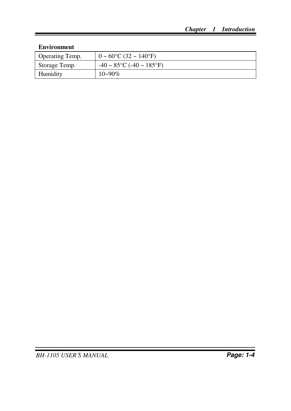#### **Environment**

| Operating Temp. | $0 \sim 60^{\circ}$ C (32 ~ 140°F)    |
|-----------------|---------------------------------------|
| Storage Temp.   | $-40 \sim 85$ °C ( $-40 \sim 185$ °F) |
| Humidity        | $10 - 90\%$                           |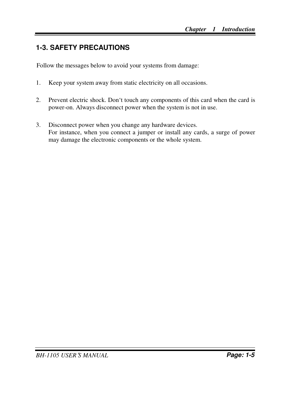## **1-3. SAFETY PRECAUTIONS**

Follow the messages below to avoid your systems from damage:

- 1. Keep your system away from static electricity on all occasions.
- 2. Prevent electric shock. Don't touch any components of this card when the card is power-on. Always disconnect power when the system is not in use.
- 3. Disconnect power when you change any hardware devices. For instance, when you connect a jumper or install any cards, a surge of power may damage the electronic components or the whole system.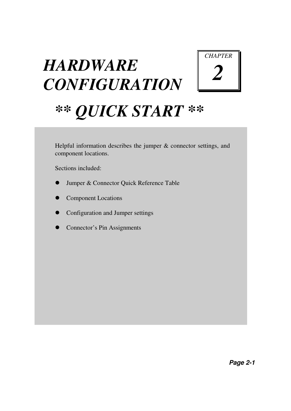# *HARDWARE CONFIGURATION*



# *\*\* QUICK START \*\**

Helpful information describes the jumper  $&$  connector settings, and component locations.

Sections included:

- Jumper & Connector Quick Reference Table
- Component Locations
- Configuration and Jumper settings
- Connector's Pin Assignments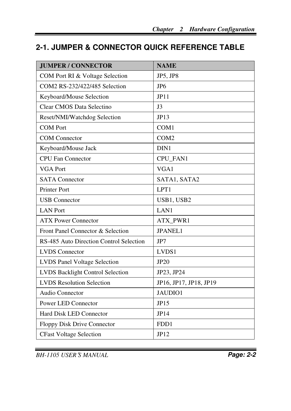## **2-1. JUMPER & CONNECTOR QUICK REFERENCE TABLE**

| <b>JUMPER / CONNECTOR</b>               | <b>NAME</b>            |
|-----------------------------------------|------------------------|
| COM Port RI & Voltage Selection         | JP5, JP8               |
| COM2 RS-232/422/485 Selection           | JP <sub>6</sub>        |
| Keyboard/Mouse Selection                | JP11                   |
| Clear CMOS Data Selectino               | J <sub>3</sub>         |
| Reset/NMI/Watchdog Selection            | JP13                   |
| <b>COM Port</b>                         | COM1                   |
| <b>COM</b> Connector                    | COM <sub>2</sub>       |
| Keyboard/Mouse Jack                     | DIN1                   |
| <b>CPU Fan Connector</b>                | CPU_FAN1               |
| <b>VGA Port</b>                         | VGA1                   |
| <b>SATA</b> Connector                   | SATA1, SATA2           |
| Printer Port                            | LPT1                   |
| <b>USB</b> Connector                    | USB1, USB2             |
| <b>LAN</b> Port                         | LAN1                   |
| <b>ATX Power Connector</b>              | ATX_PWR1               |
| Front Panel Connector & Selection       | <b>JPANEL1</b>         |
| RS-485 Auto Direction Control Selection | JP7                    |
| <b>LVDS</b> Connector                   | LVDS1                  |
| LVDS Panel Voltage Selection            | <b>JP20</b>            |
| <b>LVDS Backlight Control Selection</b> | JP23, JP24             |
| <b>LVDS</b> Resolution Selection        | JP16, JP17, JP18, JP19 |
| Audio Connector                         | JAUDIO1                |
| Power LED Connector                     | JP15                   |
| Hard Disk LED Connector                 | JP14                   |
| Floppy Disk Drive Connector             | FDD1                   |
| <b>CFast Voltage Selection</b>          | JP12                   |

*BH-1105 USER*′*S MANUAL* **Page: 2-2**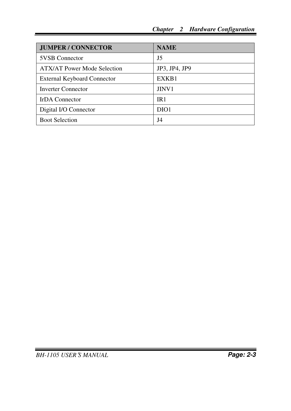| <b>JUMPER / CONNECTOR</b>          | <b>NAME</b>       |
|------------------------------------|-------------------|
| <b>5VSB</b> Connector              | J5                |
| <b>ATX/AT Power Mode Selection</b> | JP3, JP4, JP9     |
| <b>External Keyboard Connector</b> | EXKB1             |
| <b>Inverter Connector</b>          | JINV <sub>1</sub> |
| <b>IrDA</b> Connector              | IR1               |
| Digital I/O Connector              | DIO <sub>1</sub>  |
| <b>Boot Selection</b>              | J4                |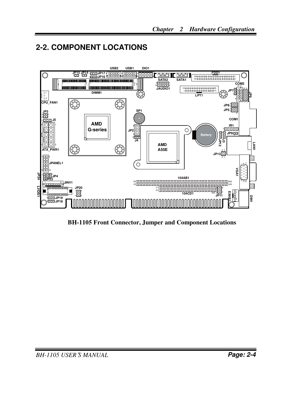## **2-2. COMPONENT LOCATIONS**



**BH-1105 Front Connector, Jumper and Component Locations**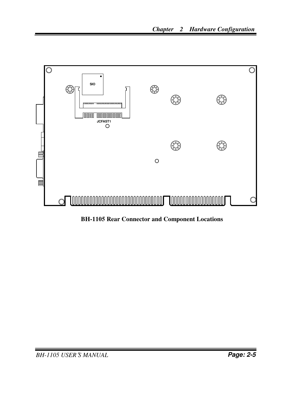

**BH-1105 Rear Connector and Component Locations**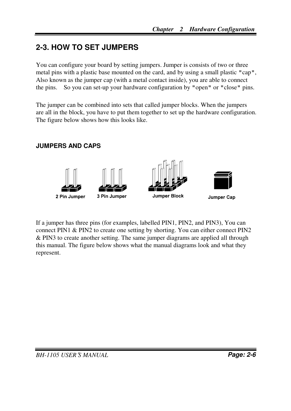## **2-3. HOW TO SET JUMPERS**

You can configure your board by setting jumpers. Jumper is consists of two or three metal pins with a plastic base mounted on the card, and by using a small plastic "cap", Also known as the jumper cap (with a metal contact inside), you are able to connect the pins. So you can set-up your hardware configuration by "open" or "close" pins.

The jumper can be combined into sets that called jumper blocks. When the jumpers are all in the block, you have to put them together to set up the hardware configuration. The figure below shows how this looks like.

#### **JUMPERS AND CAPS**



If a jumper has three pins (for examples, labelled PIN1, PIN2, and PIN3), You can connect PIN1 & PIN2 to create one setting by shorting. You can either connect PIN2 & PIN3 to create another setting. The same jumper diagrams are applied all through this manual. The figure below shows what the manual diagrams look and what they represent.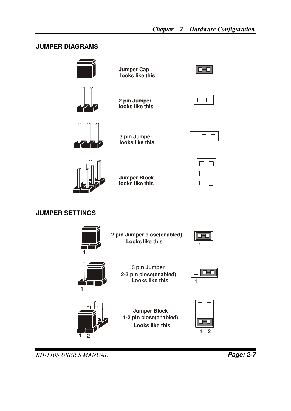#### **JUMPER DIAGRAMS**





**Jumper Cap looks like this**

**2 pin Jumper looks like this**



**3 pin Jumper looks like this**

**Jumper Block looks like this**

|--|

|--|

#### **JUMPER SETTINGS**



**Looks like this 2 pin Jumper close(enabled)**





**3 pin Jumper 2-3 pin close(enabled) Looks like this**





**Looks like this Jumper Block 1-2 pin close(enabled)**



*BH-1105 USER*′*S MANUAL* **Page: 2-7**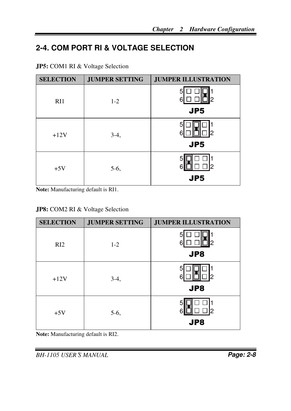## **2-4. COM PORT RI & VOLTAGE SELECTION**

| <b>SELECTION</b> | <b>JUMPER SETTING</b> | <b>JUMPER ILLUSTRATION</b> |
|------------------|-----------------------|----------------------------|
| RI1              | $1 - 2$               | 2                          |
|                  |                       | JP <sub>5</sub>            |
| $+12V$           | $3-4,$                | 2                          |
|                  |                       | JP <sub>5</sub>            |
| $+5V$            | $5-6,$                | 2                          |
|                  |                       | JP <sub>5</sub>            |

**JP5:** COM1 RI & Voltage Selection

**Note:** Manufacturing default is RI1.

#### **JP8:** COM2 RI & Voltage Selection

| <b>SELECTION</b> | <b>JUMPER SETTING</b> | <b>JUMPER ILLUSTRATION</b> |
|------------------|-----------------------|----------------------------|
| RI2              | $1 - 2$               | 2<br>JP8                   |
| $+12V$           | $3-4,$                | 2<br>JP8                   |
| $+5V$            | $5-6,$                | 2<br>JP8                   |

**Note:** Manufacturing default is RI2.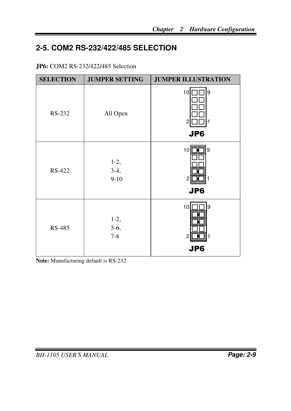## **2-5. COM2 RS-232/422/485 SELECTION**

#### **JP6:** COM2 RS-232/422/485 Selection

| <b>SELECTION</b> | <b>JUMPER SETTING</b>      | <b>JUMPER ILLUSTRATION</b>            |
|------------------|----------------------------|---------------------------------------|
| RS-232           | All Open                   | 119<br>10<br>2<br>JP6                 |
| RS-422           | $1-2,$<br>$3-4,$<br>$9-10$ | 10<br>9∏<br>2<br>1<br>JP6             |
| RS-485           | $1-2,$<br>5-6,<br>$7 - 8$  | 10<br>9<br>$\overline{c}$<br>1<br>JP6 |

**Note:** Manufacturing default is RS-232.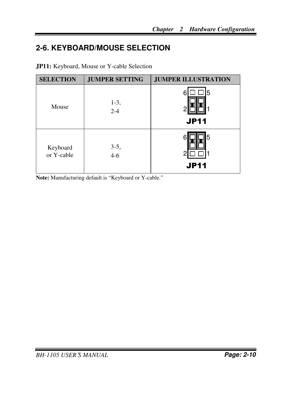## **2-6. KEYBOARD/MOUSE SELECTION**

| <b>SELECTION</b>       | <b>JUMPER SETTING</b> | <b>JUMPER ILLUSTRATION</b> |
|------------------------|-----------------------|----------------------------|
| Mouse                  | $1-3,$<br>$2 - 4$     | 5<br>r<br><b>JP11</b>      |
| Keyboard<br>or Y-cable | $3-5,$<br>$4 - 6$     | 5<br><b>JP11</b>           |

**JP11:** Keyboard, Mouse or Y-cable Selection

**Note:** Manufacturing default is "Keyboard or Y-cable."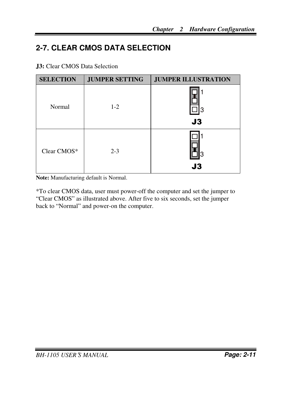## **2-7. CLEAR CMOS DATA SELECTION**

**J3:** Clear CMOS Data Selection

| <b>SELECTION</b> | <b>JUMPER SETTING</b> | <b>JUMPER ILLUSTRATION</b> |
|------------------|-----------------------|----------------------------|
| Normal           | $1 - 2$               | 3<br>J3                    |
| Clear CMOS*      | $2 - 3$               | J3                         |

**Note:** Manufacturing default is Normal.

\*To clear CMOS data, user must power-off the computer and set the jumper to "Clear CMOS" as illustrated above. After five to six seconds, set the jumper back to "Normal" and power-on the computer.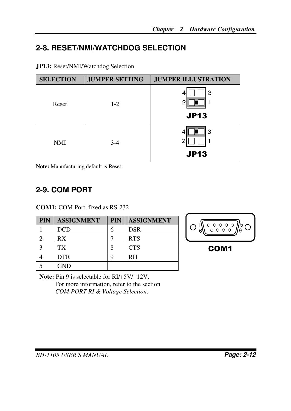## **2-8. RESET/NMI/WATCHDOG SELECTION**

|  |  | <b>JP13:</b> Reset/NMI/Watchdog Selection |  |
|--|--|-------------------------------------------|--|
|--|--|-------------------------------------------|--|

| <b>SELECTION</b> | <b>JUMPER SETTING</b> | <b>JUMPER ILLUSTRATION</b> |
|------------------|-----------------------|----------------------------|
| Reset            | $1 - 2$               | 3<br>4<br><b>JP13</b>      |
|                  |                       |                            |
| <b>NMI</b>       | $3-4$                 | 3<br>◠<br><b>JP13</b>      |

**Note:** Manufacturing default is Reset.

## **2-9. COM PORT**

**COM1:** COM Port, fixed as RS-232

| <b>PIN</b> | <b>ASSIGNMENT</b> | <b>PIN</b> | <b>ASSIGNMENT</b> |
|------------|-------------------|------------|-------------------|
|            | DCD               |            | <b>DSR</b>        |
|            | RX                |            | <b>RTS</b>        |
|            | TX                |            | <b>CTS</b>        |
|            | <b>DTR</b>        |            | R <sub>11</sub>   |
|            | <b>GND</b>        |            |                   |



**Note:** Pin 9 is selectable for RI/+5V/+12V. For more information, refer to the section *COM PORT RI & Voltage Selection*.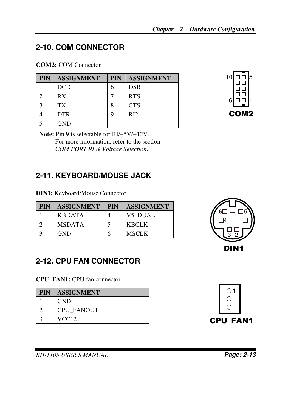## **2-10. COM CONNECTOR**

#### **COM2:** COM Connector

| <b>PIN</b> | <b>ASSIGNMENT</b> | <b>PIN</b> | <b>ASSIGNMENT</b> |
|------------|-------------------|------------|-------------------|
|            | <b>DCD</b>        | h          | <b>DSR</b>        |
|            | RX                |            | <b>RTS</b>        |
|            | TX                |            | <b>CTS</b>        |
|            | <b>DTR</b>        |            | R <sub>12</sub>   |
|            | <b>GND</b>        |            |                   |



**Note:** Pin 9 is selectable for RI/+5V/+12V. For more information, refer to the section *COM PORT RI & Voltage Selection*.

## **2-11. KEYBOARD/MOUSE JACK**

**DIN1:** Keyboard/Mouse Connector

| <b>PIN</b> | <b>ASSIGNMENT</b> | <b>PIN</b><br>II | <b>ASSIGNMENT</b> |
|------------|-------------------|------------------|-------------------|
|            | <b>KBDATA</b>     |                  | V5 DUAL           |
|            | <b>MSDATA</b>     |                  | <b>KBCLK</b>      |
|            | <b>GND</b>        |                  | <b>MSCLK</b>      |

## 1 3 2 4 6 $\Box$   $\Box$   $\Box$ 5 DIN1

## **2-12. CPU FAN CONNECTOR**

**CPU\_FAN1:** CPU fan connector

| <b>PIN</b> | <b>ASSIGNMENT</b> |
|------------|-------------------|
|            | <b>GND</b>        |
|            | <b>CPU FANOUT</b> |
|            | VCC <sub>12</sub> |



*BH-1105 USER*′*S MANUAL* **Page: 2-13**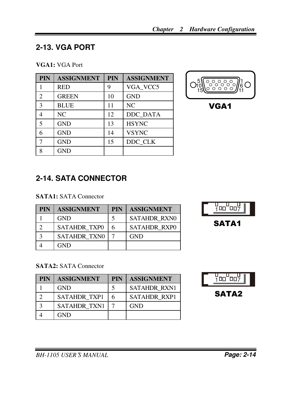## **2-13. VGA PORT**

#### **VGA1:** VGA Port

| <b>PIN</b>     | <b>ASSIGNMENT</b> | PIN | <b>ASSIGNMENT</b> |
|----------------|-------------------|-----|-------------------|
|                | <b>RED</b>        | 9   | VGA VCC5          |
| $\mathfrak{D}$ | <b>GREEN</b>      | 10  | <b>GND</b>        |
| 3              | <b>BLUE</b>       | 11  | NC                |
| 4              | N <sub>C</sub>    | 12  | DDC_DATA          |
| 5              | <b>GND</b>        | 13  | <b>HSYNC</b>      |
|                | <b>GND</b>        | 14  | <b>VSYNC</b>      |
|                | <b>GND</b>        | 15  | DDC CLK           |
| Ջ              | <b>GND</b>        |     |                   |



VGA1

## **2-14. SATA CONNECTOR**

#### **SATA1:** SATA Connector

| <b>PIN</b> | <b>ASSIGNMENT</b>   | <b>PIN</b> | <b>ASSIGNMENT</b>   |
|------------|---------------------|------------|---------------------|
|            | <b>GND</b>          |            | <b>SATAHDR RXN0</b> |
|            | <b>SATAHDR TXP0</b> | 6          | <b>SATAHDR RXPO</b> |
|            | <b>SATAHDR TXN0</b> |            | <b>GND</b>          |
|            | GND                 |            |                     |



#### **SATA2:** SATA Connector

| <b>PIN</b> | <b>ASSIGNMENT</b>   | <b>PIN</b> | <b>ASSIGNMENT</b>   |
|------------|---------------------|------------|---------------------|
|            | <b>GND</b>          |            | <b>SATAHDR RXN1</b> |
|            | <b>SATAHDR TXP1</b> | 6          | <b>SATAHDR RXP1</b> |
|            | <b>SATAHDR TXN1</b> |            | <b>GND</b>          |
|            | GND                 |            |                     |

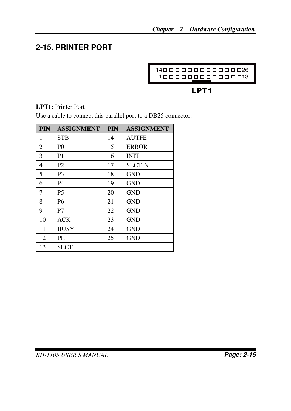## **2-15. PRINTER PORT**



## LPT1

#### **LPT1:** Printer Port

Use a cable to connect this parallel port to a DB25 connector.

| <b>PIN</b> | <b>ASSIGNMENT</b> | <b>PIN</b> | <b>ASSIGNMENT</b> |
|------------|-------------------|------------|-------------------|
| 1          | <b>STB</b>        | 14         | <b>AUTFE</b>      |
| 2          | P <sub>0</sub>    | 15         | <b>ERROR</b>      |
| 3          | P <sub>1</sub>    | 16         | <b>INIT</b>       |
| 4          | P <sub>2</sub>    | 17         | <b>SLCTIN</b>     |
| 5          | P <sub>3</sub>    | 18         | <b>GND</b>        |
| 6          | <b>P4</b>         | 19         | <b>GND</b>        |
| 7          | P <sub>5</sub>    | 20         | <b>GND</b>        |
| 8          | P6                | 21         | <b>GND</b>        |
| 9          | P7                | 22         | <b>GND</b>        |
| 10         | ACK               | 23         | <b>GND</b>        |
| 11         | <b>BUSY</b>       | 24         | <b>GND</b>        |
| 12         | PE                | 25         | <b>GND</b>        |
| 13         | <b>SLCT</b>       |            |                   |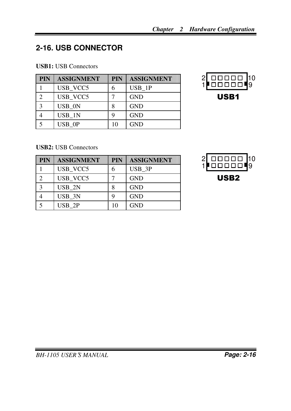## **2-16. USB CONNECTOR**

#### **USB1:** USB Connectors

| <b>PIN</b> | <b>ASSIGNMENT</b> | <b>PIN</b> | <b>ASSIGNMENT</b> |
|------------|-------------------|------------|-------------------|
|            | USB VCC5          | 6          | USB 1P            |
|            | USB VCC5          |            | <b>GND</b>        |
| 3          | USB 0N            | 8          | <b>GND</b>        |
|            | USB 1N            | q          | <b>GND</b>        |
|            | USB OP            | 10         | <b>GND</b>        |



#### **USB2:** USB Connectors

| <b>PIN</b>   | <b>ASSIGNMENT</b> | <b>PIN</b> | <b>ASSIGNMENT</b> |
|--------------|-------------------|------------|-------------------|
|              | USB_VCC5          | 6          | USB 3P            |
|              | USB VCC5          |            | <b>GND</b>        |
| $\mathbf{a}$ | USB 2N            | 8          | <b>GND</b>        |
|              | USB 3N            | q          | <b>GND</b>        |
|              | USB 2P            | 10         | <b>GND</b>        |

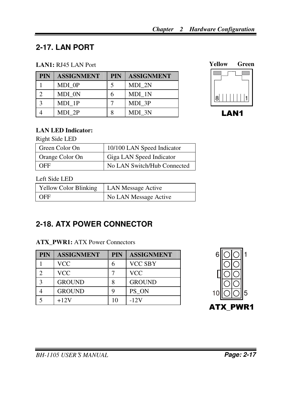## **2-17. LAN PORT**

#### **LAN1:** RJ45 LAN Port

| <b>PIN</b> | <b>ASSIGNMENT</b> | <b>PIN</b> | <b>ASSIGNMENT</b> |
|------------|-------------------|------------|-------------------|
|            | MDI 0P            |            | MDI 2N            |
|            | MDI 0N            | 6          | MDI 1N            |
|            | MDI 1P            |            | MDI 3P            |
|            | MDI 2P            | 8          | MDI 3N            |





#### **LAN LED Indicator:**

Right Side LED

| l Green Color On | 10/100 LAN Speed Indicator  |
|------------------|-----------------------------|
| Orange Color On  | Giga LAN Speed Indicator    |
| <b>OFF</b>       | No LAN Switch/Hub Connected |

#### Left Side LED

| Yellow Color Blinking | <b>LAN Message Active</b> |
|-----------------------|---------------------------|
| <b>OFF</b>            | No LAN Message Active     |

## **2-18. ATX POWER CONNECTOR**

#### **ATX PWR1: ATX Power Connectors**

| <b>PIN</b> | <b>ASSIGNMENT</b> | <b>PIN</b> | <b>ASSIGNMENT</b> |
|------------|-------------------|------------|-------------------|
|            | <b>VCC</b>        | h          | <b>VCC SBY</b>    |
|            | VCC               |            | <b>VCC</b>        |
| 2          | <b>GROUND</b>     | 8          | <b>GROUND</b>     |
|            | <b>GROUND</b>     | q          | PS ON             |
|            | $+12V$            |            | $-12V$            |

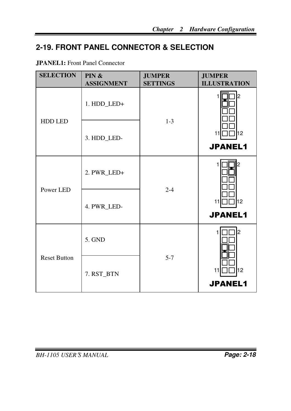## **2-19. FRONT PANEL CONNECTOR & SELECTION**

#### **JPANEL1:** Front Panel Connector

| <b>SELECTION</b>    | PIN &<br><b>ASSIGNMENT</b> | <b>JUMPER</b><br><b>SETTINGS</b> | <b>JUMPER</b><br><b>ILLUSTRATION</b> |
|---------------------|----------------------------|----------------------------------|--------------------------------------|
| <b>HDD LED</b>      | 1. HDD_LED+                | $1 - 3$                          | l2                                   |
|                     | 3. HDD_LED-                |                                  | l12<br>11<br><b>JPANEL1</b>          |
| Power LED           | 2. PWR_LED+                | $2 - 4$                          | 2                                    |
|                     | 4. PWR_LED-                |                                  | l12<br>11<br><b>JPANEL1</b>          |
| <b>Reset Button</b> | 5. GND                     | $5 - 7$                          | l2                                   |
|                     | 7. RST_BTN                 |                                  | l12<br>11<br><b>JPANEL1</b>          |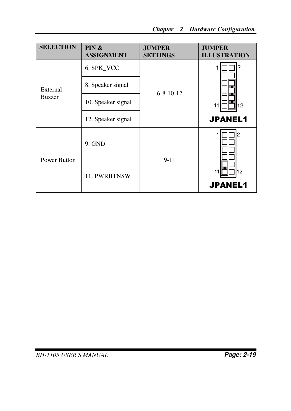| <b>SELECTION</b>          | PIN &<br><b>ASSIGNMENT</b> | <b>JUMPER</b><br><b>SETTINGS</b> | <b>JUMPER</b><br><b>ILLUSTRATION</b> |
|---------------------------|----------------------------|----------------------------------|--------------------------------------|
| External<br><b>Buzzer</b> | 6. SPK_VCC                 |                                  |                                      |
|                           | 8. Speaker signal          | $6 - 8 - 10 - 12$                |                                      |
|                           | 10. Speaker signal         |                                  | 12<br>11                             |
|                           | 12. Speaker signal         |                                  | <b>JPANEL1</b>                       |
| Power Button              | $9.$ GND                   | $9 - 11$                         | 12                                   |
|                           | 11. PWRBTNSW               |                                  | 12<br><b>JPANEL1</b>                 |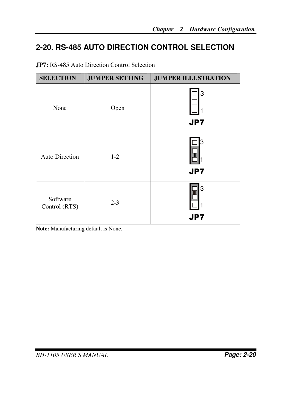## **2-20. RS-485 AUTO DIRECTION CONTROL SELECTION**

| <b>SELECTION</b>          | <b>JUMPER SETTING</b> | <b>JUMPER ILLUSTRATION</b> |
|---------------------------|-----------------------|----------------------------|
| None                      | Open                  | 3<br><b>JP7</b>            |
| <b>Auto Direction</b>     | $1-2$                 | Ι3<br><b>JP7</b>           |
| Software<br>Control (RTS) | $2 - 3$               | 3<br><b>JP7</b>            |

**JP7:** RS-485 Auto Direction Control Selection

**Note:** Manufacturing default is None.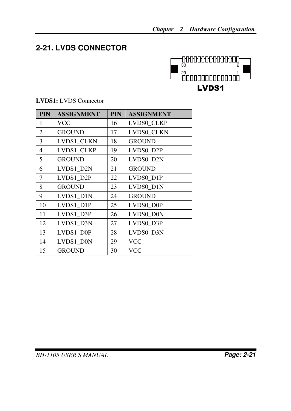## **2-21. LVDS CONNECTOR**



| ASSIGNMENT   |  |
|--------------|--|
| $\mathbf{V}$ |  |

**LVDS1:** LVDS Connector

| FIN            | ASSIGNMEN I   | FIN | ASSIGNMEN I       |
|----------------|---------------|-----|-------------------|
| $\mathbf{1}$   | VCC           | 16  | <b>LVDS0 CLKP</b> |
| 2              | <b>GROUND</b> | 17  | LVDS0_CLKN        |
| 3              | LVDS1_CLKN    | 18  | <b>GROUND</b>     |
| $\overline{4}$ | LVDS1_CLKP    | 19  | LVDS0 D2P         |
| 5              | <b>GROUND</b> | 20  | LVDS0_D2N         |
| 6              | LVDS1 D2N     | 21  | <b>GROUND</b>     |
| 7              | LVDS1_D2P     | 22  | LVDS0_D1P         |
| 8              | <b>GROUND</b> | 23  | LVDS0 D1N         |
| 9              | LVDS1_D1N     | 24  | <b>GROUND</b>     |
| 10             | LVDS1_D1P     | 25  | LVDS0_D0P         |
| 11             | LVDS1_D3P     | 26  | LVDS0_D0N         |
| 12             | LVDS1 D3N     | 27  | LVDS0_D3P         |
| 13             | LVDS1 D0P     | 28  | LVDS0_D3N         |
| 14             | LVDS1 D0N     | 29  | <b>VCC</b>        |
| 15             | <b>GROUND</b> | 30  | VCC               |

**PIN ASSIGNMENT PIN ASSIGNMENT** 

## *BH-1105 USER*′*S MANUAL* **Page: 2-21**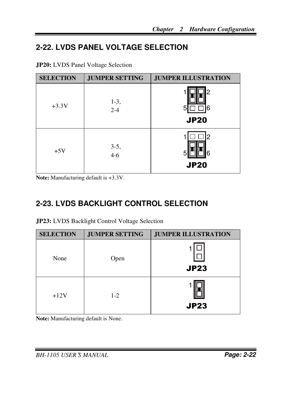## **2-22. LVDS PANEL VOLTAGE SELECTION**

| <b>SELECTION</b> | <b>JUMPER SETTING</b> | <b>JUMPER ILLUSTRATION</b> |
|------------------|-----------------------|----------------------------|
| $+3.3V$          | $1-3,$<br>$2-4$       | 2<br>5<br>Ⴌ<br><b>JP20</b> |
| $+5V$            | $3-5,$<br>4-6         | 2<br>հ<br><b>JP20</b>      |

**Note:** Manufacturing default is +3.3V.

## **2-23. LVDS BACKLIGHT CONTROL SELECTION**

| JP23: LVDS Backlight Control Voltage Selection |  |
|------------------------------------------------|--|
|                                                |  |

| <b>SELECTION</b> | <b>JUMPER SETTING</b> | <b>JUMPER ILLUSTRATION</b> |
|------------------|-----------------------|----------------------------|
| None             | Open                  | <b>JP23</b>                |
| $+12V$           | $1-2$                 | <b>JP23</b>                |

**Note:** Manufacturing default is None.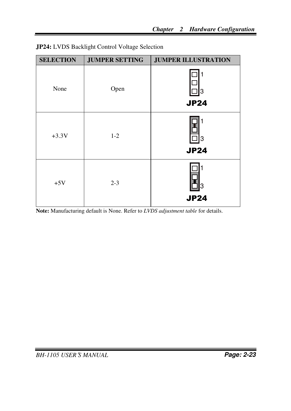| <b>SELECTION</b> | <b>JUMPER SETTING</b> | <b>JUMPER ILLUSTRATION</b> |
|------------------|-----------------------|----------------------------|
| None             | Open                  | 3<br><b>JP24</b>           |
| $+3.3V$          | $1-2$                 | 3<br><b>JP24</b>           |
| $+5V$            | $2 - 3$               | l3<br><b>JP24</b>          |

|  | JP24: LVDS Backlight Control Voltage Selection |  |  |
|--|------------------------------------------------|--|--|
|  |                                                |  |  |

**Note:** Manufacturing default is None. Refer to *LVDS adjustment table* for details.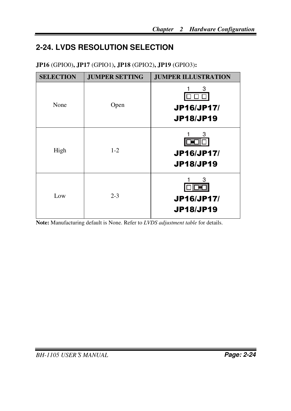## **2-24. LVDS RESOLUTION SELECTION**

| <b>SELECTION</b> | <b>JUMPER SETTING</b> | <b>JUMPER ILLUSTRATION</b>                 |
|------------------|-----------------------|--------------------------------------------|
| None             | Open                  | 3<br>JP16/JP17/<br><b>JP18/JP19</b>        |
| High             | $1 - 2$               | 3<br><b>JP16/JP17/</b><br><b>JP18/JP19</b> |
| Low              | $2 - 3$               | 3<br><b>JP16/JP17/</b><br><b>JP18/JP19</b> |

**JP16** (GPIO0)**, JP17** (GPIO1)**, JP18** (GPIO2)**, JP19** (GPIO3)**:** 

**Note:** Manufacturing default is None. Refer to *LVDS adjustment table* for details.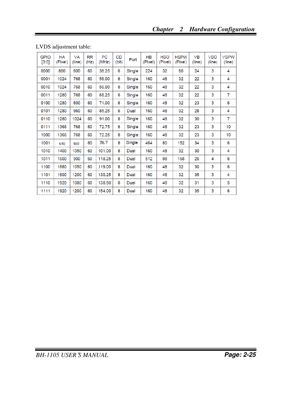| <b>GPIO</b><br>[3:0] | <b>HA</b><br>(Pixel) | <b>VA</b><br>(line) | <b>RR</b><br>(Hz) | <b>PC</b><br>(MHz) | <b>CD</b><br>(bit) | Port   | <b>HB</b><br>(Pixel) | <b>HSO</b><br>(Pixel) | <b>HSPW</b><br>(Pixel) | <b>VB</b><br>(line) | <b>VSO</b><br>(line) | <b>VSPW</b><br>(line) |
|----------------------|----------------------|---------------------|-------------------|--------------------|--------------------|--------|----------------------|-----------------------|------------------------|---------------------|----------------------|-----------------------|
| 0000                 | 800                  | 600                 | 60                | 38.25              | 6                  | Single | 224                  | 32                    | 80                     | 24                  | 3                    | 4                     |
| 0001                 | 1024                 | 768                 | 60                | 56.00              | 6                  | Single | 160                  | 48                    | 32                     | 22                  | 3                    | 4                     |
| 0010                 | 1024                 | 768                 | 60                | 56.00              | 8                  | Single | 160                  | 48                    | 32                     | 22                  | 3                    | 4                     |
| 0011                 | 1280                 | 768                 | 60                | 68.25              | 6                  | Single | 160                  | 48                    | 32                     | 22                  | 3                    | 7                     |
| 0100                 | 1280                 | 800                 | 60                | 71.00              | 6                  | Single | 160                  | 48                    | 32                     | 23                  | 3                    | 6                     |
| 0101                 | 1280                 | 960                 | 60                | 85.25              | 6                  | Dual   | 160                  | 48                    | 32                     | 28                  | 3                    | 4                     |
| 0110                 | 1280                 | 1024                | 60                | 91.00              | 8                  | Single | 160                  | 48                    | 32                     | 30                  | 3                    | $\overline{7}$        |
| 0111                 | 1366                 | 768                 | 60                | 72.75              | 6                  | Single | 160                  | 48                    | 32                     | 23                  | 3                    | 10                    |
| 1000                 | 1366                 | 768                 | 60                | 72.25              | 8                  | Single | 160                  | 48                    | 32                     | 23                  | 3                    | 10                    |
| 1001                 | 640                  | 480                 | 60                | 26.7               | 8                  | Single | 464                  | 80                    | 152                    | 34                  | 3                    | 6                     |
| 1010                 | 1400                 | 1050                | 60                | 101.00             | 8                  | Dual   | 160                  | 48                    | 32                     | 30                  | 3                    | 4                     |
| 1011                 | 1600                 | 900                 | 60                | 118.25             | 8                  | Dual   | 512                  | 88                    | 168                    | 26                  | 4                    | 8                     |
| 1100                 | 1680                 | 1050                | 60                | 119.00             | 8                  | Dual   | 160                  | 48                    | 32                     | 30                  | 3                    | 6                     |
| 1101                 | 1600                 | 1200                | 60                | 130.25             | 8                  | Dual   | 160                  | 48                    | 32                     | 35                  | 3                    | $\overline{4}$        |
| 1110                 | 1920                 | 1080                | 60                | 138.50             | 8                  | Dual   | 160                  | 48                    | 32                     | 31                  | 3                    | 5                     |
| 1111                 | 1920                 | 1200                | 60                | 154.00             | 8                  | Dual   | 160                  | 48                    | 32                     | 35                  | 3                    | 6                     |

LVDS adjustment table: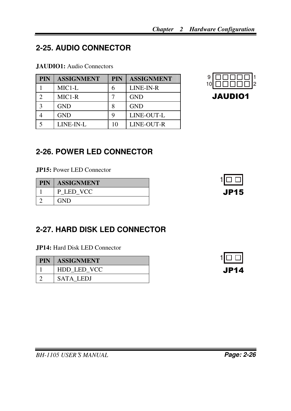# **2-25. AUDIO CONNECTOR**

### **JAUDIO1:** Audio Connectors

| PIN           | <b>ASSIGNMENT</b>   | <b>PIN</b> | <b>ASSIGNMENT</b> |
|---------------|---------------------|------------|-------------------|
|               | $MIC1-L$            | 6          | LINE-IN-R         |
|               | MIC <sub>1</sub> -R |            | <b>GND</b>        |
| $\mathcal{R}$ | <b>GND</b>          |            | <b>GND</b>        |
|               | <b>GND</b>          |            | LINE-OUT-L        |
|               | LINE-IN-L           | 10         | LINE-OUT-R        |



# **2-26. POWER LED CONNECTOR**

**JP15:** Power LED Connector

| PIN | <b>ASSIGNMENT</b> |
|-----|-------------------|
|     | P LED VCC         |
|     | <b>GND</b>        |



# **2-27. HARD DISK LED CONNECTOR**

**JP14:** Hard Disk LED Connector

| <b>PIN</b> | <b>ASSIGNMENT</b> |
|------------|-------------------|
|            | HDD LED VCC       |
|            | <b>SATA LEDJ</b>  |

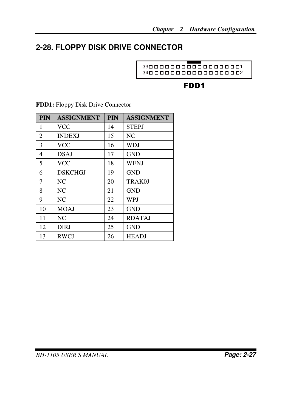# **2-28. FLOPPY DISK DRIVE CONNECTOR**

1 33 2 34

# FDD1

| PIN            | <b>ASSIGNMENT</b> | <b>PIN</b> | <b>ASSIGNMENT</b> |
|----------------|-------------------|------------|-------------------|
| 1              | <b>VCC</b>        | 14         | <b>STEPJ</b>      |
| $\overline{2}$ | <b>INDEXJ</b>     | 15         | NC                |
| 3              | <b>VCC</b>        | 16         | WDJ               |
| $\overline{4}$ | <b>DSAJ</b>       | 17         | <b>GND</b>        |
| 5              | <b>VCC</b>        | 18         | <b>WENJ</b>       |
| 6              | <b>DSKCHGJ</b>    | 19         | <b>GND</b>        |
| 7              | NC.               | 20         | TRAK0J            |
| 8              | NC                | 21         | <b>GND</b>        |
| 9              | N <sub>C</sub>    | 22         | <b>WPJ</b>        |
| 10             | <b>MOAJ</b>       | 23         | <b>GND</b>        |
| 11             | NC.               | 24         | <b>RDATAJ</b>     |
| 12             | <b>DIRJ</b>       | 25         | <b>GND</b>        |
| 13             | <b>RWCJ</b>       | 26         | <b>HEADJ</b>      |

**FDD1:** Floppy Disk Drive Connector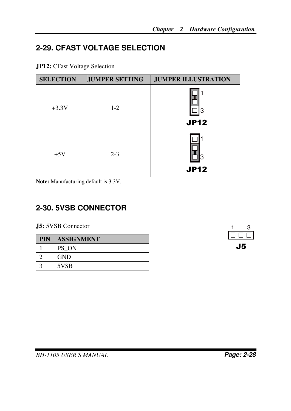# **2-29. CFAST VOLTAGE SELECTION**

|  |  |  | <b>JP12:</b> CFast Voltage Selection |
|--|--|--|--------------------------------------|
|--|--|--|--------------------------------------|

| <b>SELECTION</b> | <b>JUMPER SETTING</b> | <b>JUMPER ILLUSTRATION</b> |
|------------------|-----------------------|----------------------------|
| $+3.3V$          | $1 - 2$               | l3<br><b>JP12</b>          |
| $+5V$            | $2 - 3$               | <b>JP12</b>                |

**Note:** Manufacturing default is 3.3V.

# **2-30. 5VSB CONNECTOR**

**J5:** 5VSB Connector

| <b>PIN</b> | <b>ASSIGNMENT</b> |
|------------|-------------------|
|            | PS ON             |
|            | <b>GND</b>        |
|            | 5VSB              |

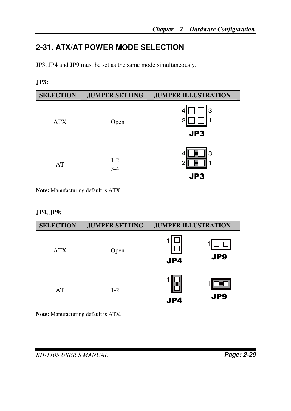# **2-31. ATX/AT POWER MODE SELECTION**

JP3, JP4 and JP9 must be set as the same mode simultaneously.

### **JP3:**

| <b>SELECTION</b> | <b>JUMPER SETTING</b> | <b>JUMPER ILLUSTRATION</b> |
|------------------|-----------------------|----------------------------|
| <b>ATX</b>       | Open                  | З<br>4<br>2<br>JP3         |
| AT               | $1-2,$<br>$3-4$       | 3<br>4<br>JP3              |

**Note:** Manufacturing default is ATX.

### **JP4, JP9:**

| <b>SELECTION</b> | <b>JUMPER SETTING</b> | <b>JUMPER ILLUSTRATION</b> |                 |
|------------------|-----------------------|----------------------------|-----------------|
| <b>ATX</b>       | Open                  | JP4                        | JP <sub>9</sub> |
| AT               | $1 - 2$               | JP4                        | JP <sub>9</sub> |

**Note:** Manufacturing default is ATX.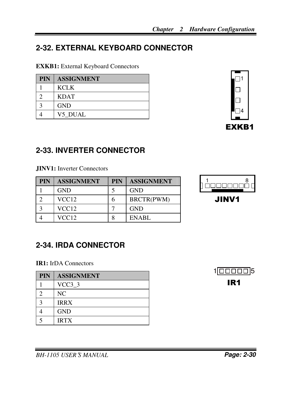# **2-32. EXTERNAL KEYBOARD CONNECTOR**

**EXKB1:** External Keyboard Connectors

| <b>PIN</b> | <b>ASSIGNMENT</b> |
|------------|-------------------|
|            | <b>KCLK</b>       |
|            | <b>KDAT</b>       |
|            | <b>GND</b>        |
|            | V5 DUAL           |



# **2-33. INVERTER CONNECTOR**

**JINV1:** Inverter Connectors

| <b>PIN</b> | <b>ASSIGNMENT</b> | <b>PIN</b> | <b>ASSIGNMENT</b> |
|------------|-------------------|------------|-------------------|
|            | <b>GND</b>        |            | <b>GND</b>        |
|            | VCC <sub>12</sub> |            | BRCTR(PWM)        |
|            | VCC <sub>12</sub> |            | <b>GND</b>        |
|            | VCC12             |            | <b>ENABL</b>      |



JINV1

# **2-34. IRDA CONNECTOR**

**IR1:** IrDA Connectors

| <b>PIN</b> | <b>ASSIGNMENT</b> |
|------------|-------------------|
|            | $VCC3_3$          |
|            | NC.               |
|            | <b>IRRX</b>       |
|            | <b>GND</b>        |
|            | <b>IRTX</b>       |

 $1 \overline{\Box\Box\Box\Box\Box}$ 5 IR1

*BH-1105 USER*′*S MANUAL* **Page: 2-30**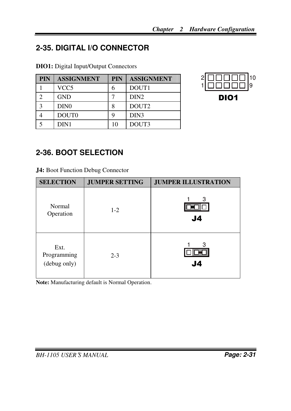# **2-35. DIGITAL I/O CONNECTOR**

**DIO1:** Digital Input/Output Connectors

| <b>PIN</b>   | <b>ASSIGNMENT</b> | <b>PIN</b> | <b>ASSIGNMENT</b> |
|--------------|-------------------|------------|-------------------|
|              | VCC5              | 6          | DOUT1             |
|              | <b>GND</b>        |            | DIN <sub>2</sub>  |
| $\mathbf{c}$ | DIN <sub>0</sub>  | 8          | DOUT <sub>2</sub> |
|              | DOUT <sub>0</sub> | q          | DIN <sub>3</sub>  |
|              | DIN1              | 10         | DOUT3             |

| $2\overline{ \begin{bmatrix} 1 & 0 & 0 \\ 0 & 1 & 0 \\ 1 & 0 & 0 & 0 \\ 0 & 0 & 0 & 0 \\ 0 & 0 & 0 & 0 \\ 0 & 0 & 0 & 0 \\ 0 & 0 & 0 & 0 \\ 0 & 0 & 0 & 0 \\ 0 & 0 & 0 & 0 \\ 0 & 0 & 0 & 0 \\ 0 & 0 & 0 & 0 \\ 0 & 0 & 0 & 0 \\ 0 & 0 & 0 & 0 \\ 0 & 0 & 0 & 0 & 0 \\ 0 & 0 & 0 & 0 & 0 \\ 0 & 0 & 0 & 0 & 0 \\ 0 & 0 & 0 & 0 & 0$ |  |
|-------------------------------------------------------------------------------------------------------------------------------------------------------------------------------------------------------------------------------------------------------------------------------------------------------------------------------------|--|
| DIO1                                                                                                                                                                                                                                                                                                                                |  |

# **2-36. BOOT SELECTION**

**J4:** Boot Function Debug Connector

| <b>SELECTION</b>                    | <b>JUMPER SETTING</b> | <b>JUMPER ILLUSTRATION</b> |
|-------------------------------------|-----------------------|----------------------------|
| Normal<br>Operation                 | $1 - 2$               | 3<br>J <sub>4</sub>        |
| Ext.<br>Programming<br>(debug only) | $2 - 3$               | З<br>J4                    |

**Note:** Manufacturing default is Normal Operation.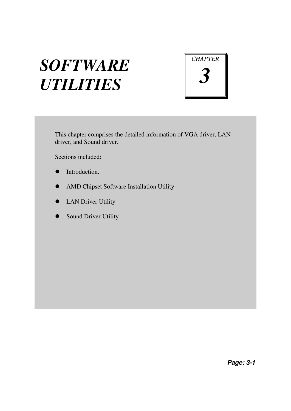# *SOFTWARE UTILITIES*



This chapter comprises the detailed information of VGA driver, LAN driver, and Sound driver.

Sections included:

- $\bullet$  Introduction
- AMD Chipset Software Installation Utility
- LAN Driver Utility
- **•** Sound Driver Utility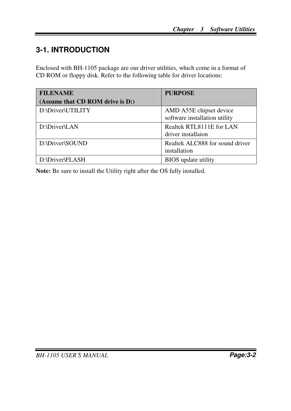# **3-1. INTRODUCTION**

Enclosed with BH-1105 package are our driver utilities, which come in a format of CD ROM or floppy disk. Refer to the following table for driver locations:

| <b>FILENAME</b>                  | <b>PURPOSE</b>                                           |
|----------------------------------|----------------------------------------------------------|
| (Assume that CD ROM drive is D:) |                                                          |
| D:\Driver\UTILITY                | AMD A55E chipset device<br>software installation utility |
| D:\Driver\LAN                    | Realtek RTL8111E for LAN<br>driver installaion           |
| D:\Driver\SOUND                  | Realtek ALC888 for sound driver<br>installation          |
| D:\Driver\FLASH                  | <b>BIOS</b> update utility                               |

**Note:** Be sure to install the Utility right after the OS fully installed.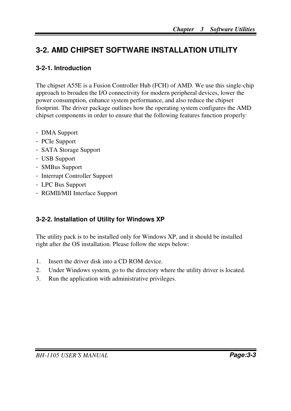# **3-2. AMD C HIPSET SOFTWARE INSTALLATION UTILITY**

### **3-2-1. Introduction**

The chipset A55E is a Fusion Controller Hub (FCH) of AMD. We use this single-chip approach to broaden the I/O connectivity for modern peripheral devices, lower the power consumption, enhance system performance, and also reduce the chipset footprint. The driver package outlines how the operating system configures the AMD chipset components in order to ensure that the following features function properly:

- DMA Support
- PCIe Support
- SATA Storage Support
- USB Support
- SMBus Support
- Interrupt Controller Support
- LPC Bus Support
- RGMII/MII Interface Support

### **3-2-2. Installation of Utility for Windows XP**

The utility pack is to be installed only for Windows XP, and it should be installed right after the OS installation. Please follow the steps below:

- 1. Insert the driver disk into a CD ROM device.
- 2. Under Windows system, go to the directory where the utility driver is located.
- 3. Run the application with administrative privileges.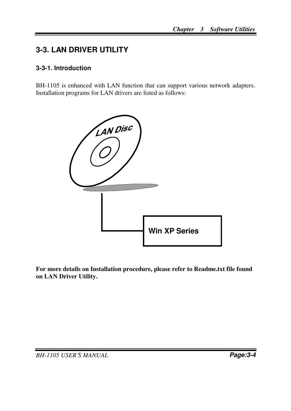# **3-3. LAN DRIVER UTILITY**

### **3-3-1. Introduction**

BH-1105 is enhanced with LAN function that can support various network adapters. Installation programs for LAN drivers are listed as follows:



**For more details on Installation procedure, please refer to Readme.txt file found on LAN Driver Utility.**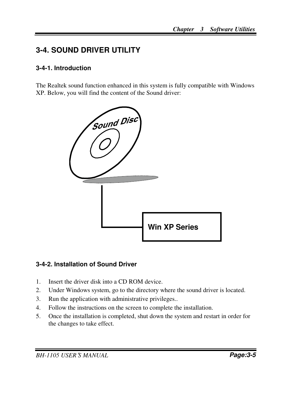# **3-4. SOUND DRIVER UTILITY**

### **3-4-1. Introduction**

The Realtek sound function enhanced in this system is fully compatible with Windows XP. Below, you will find the content of the Sound driver:



### **3-4-2. Installation of Sound Driver**

- 1. Insert the driver disk into a CD ROM device.
- 2. Under Windows system, go to the directory where the sound driver is located.
- 3. Run the application with administrative privileges..
- 4. Follow the instructions on the screen to complete the installation.
- 5. Once the installation is completed, shut down the system and restart in order for the changes to take effect.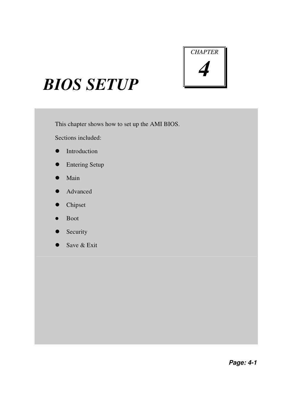

# *BIOS SETUP*

This chapter shows how to set up the AMI BIOS.

Sections included:

- **•** Introduction
- **•** Entering Setup
- Main
- Advanced
- Chipset
- Boot
- Security
- Save & Exit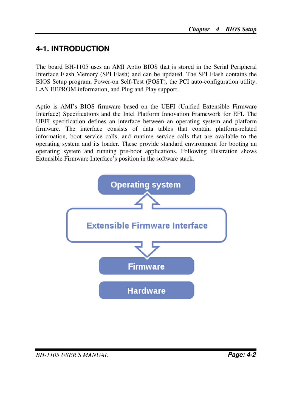# **4-1. INTRODUCTION**

The board BH-1105 uses an AMI Aptio BIOS that is stored in the Serial Peripheral Interface Flash Memory (SPI Flash) and can be updated. The SPI Flash contains the BIOS Setup program, Power-on Self-Test (POST), the PCI auto-configuration utility, LAN EEPROM information, and Plug and Play support.

Aptio is AMI's BIOS firmware based on the UEFI (Unified Extensible Firmware Interface) Specifications and the Intel Platform Innovation Framework for EFI. The UEFI specification defines an interface between an operating system and platform firmware. The interface consists of data tables that contain platform-related information, boot service calls, and runtime service calls that are available to the operating system and its loader. These provide standard environment for booting an operating system and running pre-boot applications. Following illustration shows Extensible Firmware Interface's position in the software stack.

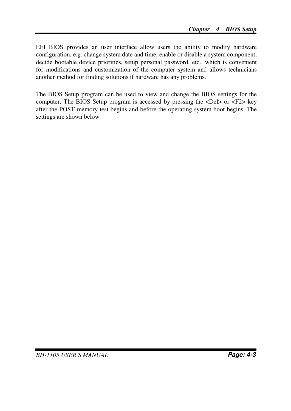EFI BIOS provides an user interface allow users the ability to modify hardware configuration, e.g. change system date and time, enable or disable a system component, decide bootable device priorities, setup personal password, etc., which is convenient for modifications and customization of the computer system and allows technicians another method for finding solutions if hardware has any problems.

The BIOS Setup program can be used to view and change the BIOS settings for the computer. The BIOS Setup program is accessed by pressing the <Del> or <F2> key after the POST memory test begins and before the operating system boot begins. The settings are shown below.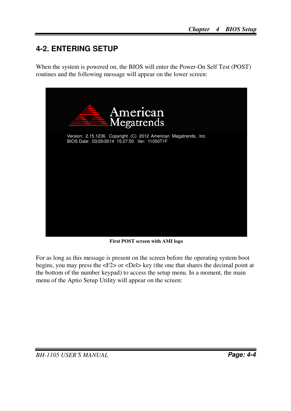# **4-2. ENTERING SETUP**

When the system is powered on, the BIOS will enter the Power-On Self Test (POST) routines and the following message will appear on the lower screen:



**First POST screen with AMI logo** 

For as long as this message is present on the screen before the operating system boot begins, you may press the <F2> or <Del> key (the one that shares the decimal point at the bottom of the number keypad) to access the setup menu. In a moment, the main menu of the Aptio Setup Utility will appear on the screen: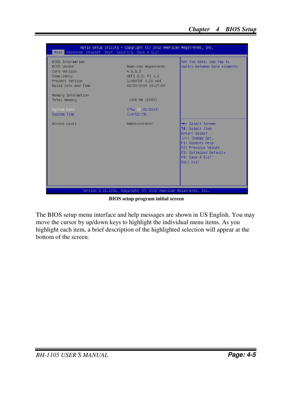| Aptio Setup Utility – Copyright $(C)$ 2012 American Megatrends, Inc.<br>Main Advanced Chipset Boot Security Save & Exit |                                                                                                |                                                                                                                                                                                                |
|-------------------------------------------------------------------------------------------------------------------------|------------------------------------------------------------------------------------------------|------------------------------------------------------------------------------------------------------------------------------------------------------------------------------------------------|
| BIOS Information<br>BIOS Vendor<br>Core Version<br>Compliancy<br>Project Version<br>Build Date and Time                 | American Megatrends<br>4.6.5.3<br>UEFI 2.3; PI 1.2<br>11050T0F 0.21 x64<br>03/20/2014 14:27:50 | Set the Date. Use Tab to<br>switch between Date elements.                                                                                                                                      |
| Memory Information                                                                                                      |                                                                                                |                                                                                                                                                                                                |
| Total Memory                                                                                                            | 1008 MB (DDR3)                                                                                 |                                                                                                                                                                                                |
|                                                                                                                         |                                                                                                |                                                                                                                                                                                                |
| System Date                                                                                                             | [Thu 03/20/2014]                                                                               |                                                                                                                                                                                                |
| System Time                                                                                                             | [14:53:19]                                                                                     |                                                                                                                                                                                                |
| Access Level                                                                                                            | Administrator                                                                                  | <b>++:</b> Select Screen<br>↑↓: Select Item<br><b>Enter: Select</b><br>$+/-:$ Change Opt.<br>F1: General Help<br>F2: Previous Values<br>F3: Optimized Defaults<br>F4: Save & Exit<br>ESC: Exit |
|                                                                                                                         | Version 2.15.1236. Copyright (C) 2012 American Megatrends, Inc.                                |                                                                                                                                                                                                |

**BIOS setup program initial screen** 

The BIOS setup menu interface and help messages are shown in US English. You may move the cursor by up/down keys to highlight the individual menu items. As you highlight each item, a brief description of the highlighted selection will appear at the bottom of the screen.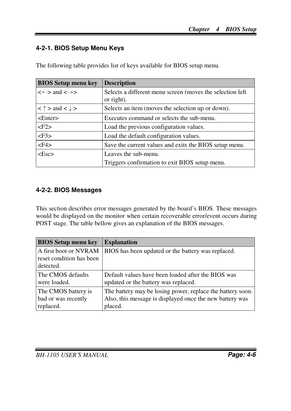### **4-2-1. BIOS Setup Menu Keys**

| <b>BIOS Setup menu key</b>          | <b>Description</b>                                                       |
|-------------------------------------|--------------------------------------------------------------------------|
| $\iff$ and $\iff$                   | Selects a different menu screen (moves the selection left)<br>or right). |
| $< \uparrow$ > and $< \downarrow$ > | Selects an item (moves the selection up or down).                        |
| $\epsilon$ Enter $>$                | Executes command or selects the sub-menu.                                |
| $<$ F2 $>$                          | Load the previous configuration values.                                  |
| $<$ F3>                             | Load the default configuration values.                                   |
| $<$ F4>                             | Save the current values and exits the BIOS setup menu.                   |
| $<\epsilon$ <sub>Sc</sub> $>$       | Leaves the sub-menu.                                                     |
|                                     | Triggers confirmation to exit BIOS setup menu.                           |

The following table provides list of keys available for BIOS setup menu.

### **4-2-2. BIOS Messages**

This section describes error messages generated by the board's BIOS. These messages would be displayed on the monitor when certain recoverable error/event occurs during POST stage. The table bellow gives an explanation of the BIOS messages.

| <b>BIOS Setup menu key</b>                              | <b>Explanation</b>                                                                                                                |
|---------------------------------------------------------|-----------------------------------------------------------------------------------------------------------------------------------|
| A first boot or NVRAM<br>reset condition has been       | BIOS has been updated or the battery was replaced.                                                                                |
| detected.                                               |                                                                                                                                   |
| The CMOS defaults<br>were loaded.                       | Default values have been loaded after the BIOS was<br>updated or the battery was replaced.                                        |
| The CMOS battery is<br>bad or was recently<br>replaced. | The battery may be losing power, replace the battery soon.<br>Also, this message is displayed once the new battery was<br>placed. |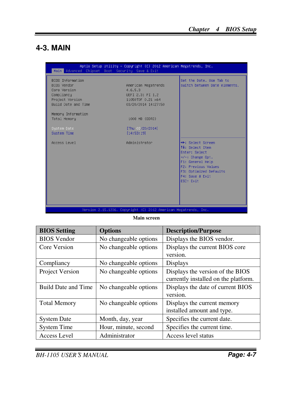## **4-3. MAIN**

| Main Advanced Chipset Boot Security Save & Exit                                                         | Aptio Setup Utility – Copyright (C) 2012 American Megatrends, Inc.                             |                                                                                                                                                                                         |
|---------------------------------------------------------------------------------------------------------|------------------------------------------------------------------------------------------------|-----------------------------------------------------------------------------------------------------------------------------------------------------------------------------------------|
| BIOS Information<br>BIOS Vendor<br>Core Version<br>Compliancy<br>Project Version<br>Build Date and Time | American Megatrends<br>4.6.5.3<br>UEFI 2.3; PI 1.2<br>11050T0F 0.21 x64<br>03/20/2014 14:27:50 | Set the Date, Use Tab to<br>switch between Date elements.                                                                                                                               |
| Memory Information<br>Total Memory                                                                      | 1008 MB (DDR3)                                                                                 |                                                                                                                                                                                         |
| System Date<br>System Time                                                                              | [Thu 08/20/2014]<br>[14:53:19]                                                                 |                                                                                                                                                                                         |
| Access Level                                                                                            | Administrator                                                                                  | <b>**:</b> Select Screen<br>↑↓: Select Item<br>Enter: Select<br>$+/-:$ Change Opt.<br>F1: General Help<br>F2: Previous Values<br>F3: Optimized Defaults<br>F4: Save & Exit<br>ESC: Exit |
|                                                                                                         | Version 2.15.1236. Copyright (C) 2012 American Megatrends, Inc.                                |                                                                                                                                                                                         |

#### **Main screen**

| <b>BIOS Setting</b>        | <b>Options</b>        | <b>Description/Purpose</b>           |
|----------------------------|-----------------------|--------------------------------------|
| <b>BIOS</b> Vendor         | No changeable options | Displays the BIOS vendor.            |
| Core Version               | No changeable options | Displays the current BIOS core       |
|                            |                       | version.                             |
| Compliancy                 | No changeable options | Displays                             |
| Project Version            | No changeable options | Displays the version of the BIOS     |
|                            |                       | currently installed on the platform. |
| <b>Build Date and Time</b> | No changeable options | Displays the date of current BIOS    |
|                            |                       | version.                             |
| <b>Total Memory</b>        | No changeable options | Displays the current memory          |
|                            |                       | installed amount and type.           |
| <b>System Date</b>         | Month, day, year      | Specifies the current date.          |
| <b>System Time</b>         | Hour, minute, second  | Specifies the current time.          |
| <b>Access Level</b>        | Administrator         | Access level status                  |

*BH-1105 USER*′*S MANUAL* **Page: 4-7**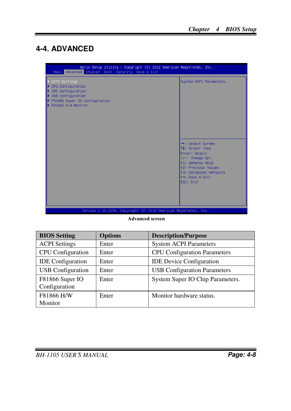# **4-4. ADVANCED**

| Aptio Setup Utility - Copyright (C) 2012 American Megatrends, Inc.<br>Main Advanced Chipset Boot Security Save & Exit               |                                                                                                                                                                                                                           |
|-------------------------------------------------------------------------------------------------------------------------------------|---------------------------------------------------------------------------------------------------------------------------------------------------------------------------------------------------------------------------|
| ACPI Settings<br>CPU Configuration<br>IDE Configuration<br>USB Configuration<br>F81866 Super IO Configuration<br>F81866 H/W Monitor | System ACPI Parameters.<br><b>++:</b> Select Screen<br>14: Select Item<br>Enter: Select<br>$+/-:$ Change Opt.<br>F1: General Help<br><b>F2: Previous Values</b><br>F3: Optimized Defaults<br>F4: Save & Exit<br>ESC: Exit |
| Version 2.15.1236. Copyright (C) 2012 American Megatrends, Inc.                                                                     |                                                                                                                                                                                                                           |

**Advanced screen** 

| <b>BIOS Setting</b>              | <b>Options</b> | <b>Description/Purpose</b>          |
|----------------------------------|----------------|-------------------------------------|
| <b>ACPI Settings</b>             | Enter          | <b>System ACPI Parameters</b>       |
| <b>CPU</b> Configuration         | Enter          | <b>CPU Configuration Parameters</b> |
| <b>IDE</b> Configuration         | Enter          | <b>IDE</b> Device Configuration     |
| <b>USB</b> Configuration         | Enter          | <b>USB Configuration Parameters</b> |
| F81866 Super IO<br>Configuration | Enter          | System Super IO Chip Parameters.    |
| F81866 H/W<br>Monitor            | Enter          | Monitor hardware status.            |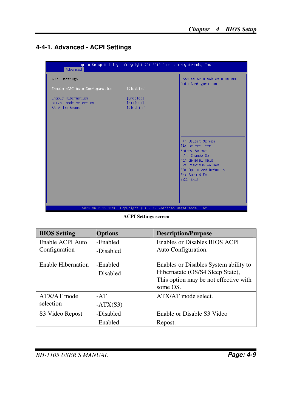### **4-4-1. Advanced - ACPI Settings**



**ACPI Settings screen** 

| <b>BIOS Setting</b>       | <b>Options</b> | <b>Description/Purpose</b>            |
|---------------------------|----------------|---------------------------------------|
| Enable ACPI Auto          | -Enabled       | Enables or Disables BIOS ACPI         |
| Configuration             | -Disabled      | Auto Configuration.                   |
| <b>Enable Hibernation</b> | -Enabled       | Enables or Disables System ability to |
|                           | -Disabled      | Hibernatate (OS/S4 Sleep State),      |
|                           |                | This option may be not effective with |
|                           |                | some OS.                              |
| ATX/AT mode               | $-AT$          | ATX/AT mode select.                   |
| selection                 | $-ATX(S3)$     |                                       |
| S3 Video Repost           | -Disabled      | Enable or Disable S3 Video            |
|                           | -Enabled       | Repost.                               |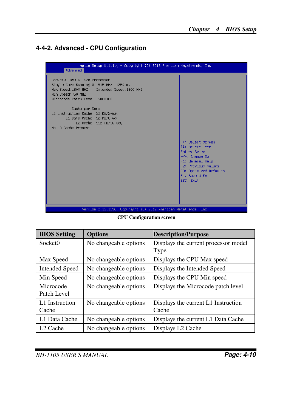### **4-4-2. Advanced - CPU Configuration**

| Advanced                                                                                                                                                                        | Aptio Setup Utility – Copyright (C) 2012 American Megatrends, Inc.                                                                                                         |
|---------------------------------------------------------------------------------------------------------------------------------------------------------------------------------|----------------------------------------------------------------------------------------------------------------------------------------------------------------------------|
| SocketO: AMD G-T52R Processor<br>Single Core Running @ 1515 MHz 1350 mV<br>Max Speed: 1500 MHZ Intended Speed: 1500 MHZ<br>Min Speed: 750 MHZ<br>Microcode Patch Level: 500010d |                                                                                                                                                                            |
| ------- Cache per Core ---------<br>L1 Instruction Cache: 32 KB/2-way<br>L1 Data Cache: 32 KB/8-way<br>L2 Cache: 512 KB/16-way<br>No L3 Cache Present                           |                                                                                                                                                                            |
|                                                                                                                                                                                 | <b>++:</b> Select Screen<br>14: Select Item<br>Enter: Select<br>$+/-:$ Change Opt.<br>F1: General Help<br>F2: Previous Values<br>F3: Optimized Defaults<br>F4: Save & Exit |
| Version 2.15.1236. Copyright (C) 2012 American Megatrends, Inc.                                                                                                                 | ESC: Exit                                                                                                                                                                  |

**CPU Configuration screen** 

| <b>BIOS Setting</b>      | <b>Options</b>        | <b>Description/Purpose</b>                   |
|--------------------------|-----------------------|----------------------------------------------|
| Socket <sub>0</sub>      | No changeable options | Displays the current processor model<br>Type |
| Max Speed                | No changeable options | Displays the CPU Max speed                   |
| <b>Intended Speed</b>    | No changeable options | Displays the Intended Speed                  |
| Min Speed                | No changeable options | Displays the CPU Min speed                   |
| Microcode<br>Patch Level | No changeable options | Displays the Microcode patch level           |
| L1 Instruction<br>Cache  | No changeable options | Displays the current L1 Instruction<br>Cache |
| L1 Data Cache            | No changeable options | Displays the current L1 Data Cache           |
| L <sub>2</sub> Cache     | No changeable options | Displays L2 Cache                            |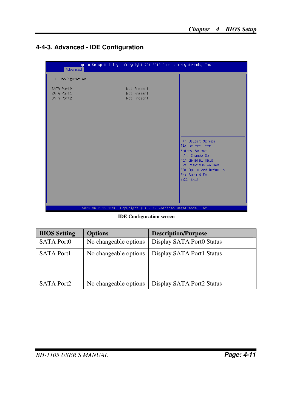## **4-4-3. Advanced - IDE Configuration**

| Advanced                               | Aptio Setup Utility - Copyright (C) 2012 American Megatrends, Inc. |                                                                                                                                                                                         |
|----------------------------------------|--------------------------------------------------------------------|-----------------------------------------------------------------------------------------------------------------------------------------------------------------------------------------|
| IDE Configuration                      |                                                                    |                                                                                                                                                                                         |
| SATA PortO<br>SATA Port1<br>SATA Port2 | Not Present<br>Not Present<br>Not Present                          | <b>++:</b> Select Screen<br>14: Select Item<br>Enter: Select<br>$+/-:$ Change Opt.<br>F1: General Help<br>F2: Previous Values<br>F3: Optimized Defaults<br>F4: Save & Exit<br>ESC: Exit |
|                                        |                                                                    |                                                                                                                                                                                         |
|                                        | Version 2.15.1236. Copyright (C) 2012 American Megatrends, Inc.    |                                                                                                                                                                                         |

**IDE Configuration screen** 

| <b>BIOS Setting</b> | <b>Options</b>        | <b>Description/Purpose</b> |
|---------------------|-----------------------|----------------------------|
| <b>SATA Port0</b>   | No changeable options | Display SATA Port0 Status  |
| <b>SATA Port1</b>   | No changeable options | Display SATA Port1 Status  |
| <b>SATA Port2</b>   | No changeable options | Display SATA Port2 Status  |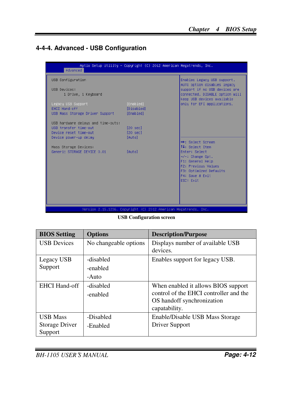### **4-4-4. Advanced - USB Configuration**

| Advanced                                                              | Aptio Setup Utility – Copyright (C) 2012 American Megatrends, Inc. |                                                                                                                              |
|-----------------------------------------------------------------------|--------------------------------------------------------------------|------------------------------------------------------------------------------------------------------------------------------|
| USB Configuration                                                     |                                                                    | Enables Legacy USB support.                                                                                                  |
| USB Devices:<br>1 Drive, 1 Keyboard                                   |                                                                    | AUTO option disables legacy<br>support if no USB devices are<br>connected. DISABLE option will<br>keep USB devices available |
| Legacy USB Support<br>EHCI Hand-off                                   | [Enabled]<br>[Disabled]                                            | only for EFI applications.                                                                                                   |
| USB Mass Storage Driver Support<br>USB hardware delays and time-outs: | [Enabled]                                                          |                                                                                                                              |
| USB transfer time-out<br>Device reset time-out                        | $[20 \text{ sec}]$<br>$[20 \text{ sec}]$                           |                                                                                                                              |
| Device power-up delay<br>Mass Storage Devices:                        | <b>TAutol</b>                                                      | <b>++:</b> Select Screen<br><b>↑↓:</b> Select Item                                                                           |
| Generic STORAGE DEVICE 0.01                                           | [Auto]                                                             | Enter: Select<br>$+/-:$ Change Opt.                                                                                          |
|                                                                       |                                                                    | F1: General Help<br>F2: Previous Values<br>F3: Optimized Defaults                                                            |
|                                                                       |                                                                    | F4: Save & Exit<br>ESC: Exit                                                                                                 |
|                                                                       |                                                                    |                                                                                                                              |
|                                                                       |                                                                    |                                                                                                                              |
|                                                                       | Version 2.15.1236. Copyright (C) 2012 American Megatrends, Inc.    |                                                                                                                              |

**USB Configuration screen** 

| <b>BIOS</b> Setting                          | <b>Options</b>                 | <b>Description/Purpose</b>                                                                                                   |
|----------------------------------------------|--------------------------------|------------------------------------------------------------------------------------------------------------------------------|
| <b>USB</b> Devices                           | No changeable options          | Displays number of available USB<br>devices.                                                                                 |
| Legacy USB<br>Support                        | -disabled<br>-enabled<br>-Auto | Enables support for legacy USB.                                                                                              |
| <b>EHCI Hand-off</b>                         | -disabled<br>-enabled          | When enabled it allows BIOS support<br>control of the EHCI controller and the<br>OS handoff synchronization<br>capatability. |
| <b>USB Mass</b><br>Storage Driver<br>Support | -Disabled<br>-Enabled          | Enable/Disable USB Mass Storage<br>Driver Support                                                                            |

*BH-1105 USER*′*S MANUAL* **Page: 4-12**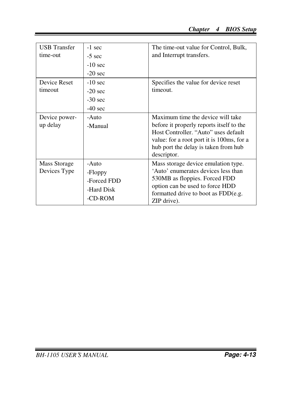| <b>USB</b> Transfer<br>time-out | $-1$ sec<br>$-5$ sec<br>$-10$ sec                        | The time-out value for Control, Bulk,<br>and Interrupt transfers.                                                                                                                                                         |
|---------------------------------|----------------------------------------------------------|---------------------------------------------------------------------------------------------------------------------------------------------------------------------------------------------------------------------------|
|                                 | $-20$ sec                                                |                                                                                                                                                                                                                           |
| Device Reset<br>timeout         | $-10$ sec<br>$-20$ sec<br>$-30$ sec<br>$-40$ sec         | Specifies the value for device reset<br>timeout.                                                                                                                                                                          |
| Device power-<br>up delay       | -Auto<br>-Manual                                         | Maximum time the device will take<br>before it properly reports itself to the<br>Host Controller. "Auto" uses default<br>value: for a root port it is 100ms, for a<br>hub port the delay is taken from hub<br>descriptor. |
| Mass Storage<br>Devices Type    | -Auto<br>-Floppy<br>-Forced FDD<br>-Hard Disk<br>-CD-ROM | Mass storage device emulation type.<br>'Auto' enumerates devices less than<br>530MB as floppies. Forced FDD<br>option can be used to force HDD<br>formatted drive to boot as $FDD(e.g.,$<br>ZIP drive).                   |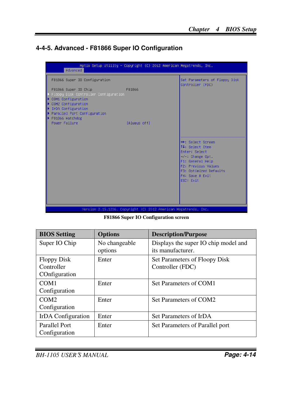### **4-4-5. Advanced - F81866 Super IO Configuration**

| Advanced                                                                                                                                                                         | Aptio Setup Utility – Copyright (C) 2012 American Megatrends, Inc. |                                                                                                                                                                                         |
|----------------------------------------------------------------------------------------------------------------------------------------------------------------------------------|--------------------------------------------------------------------|-----------------------------------------------------------------------------------------------------------------------------------------------------------------------------------------|
| F81866 Super IO Configuration                                                                                                                                                    |                                                                    | Set Parameters of Floppy Disk<br>Controller (FDC)                                                                                                                                       |
| F81866 Super IO Chip<br>Floppy Disk Controller Configuration<br>COM1 Configuration<br>COM2 Configuration<br>IrDA Configuration<br>Parallel Port Configuration<br>F81866 Watchdog | F81866                                                             |                                                                                                                                                                                         |
| Power Failure                                                                                                                                                                    | [Always off]                                                       |                                                                                                                                                                                         |
|                                                                                                                                                                                  |                                                                    | <b>++:</b> Select Screen<br>↑↓: Select Item<br>Enter: Select<br>$+/-:$ Change Opt.<br>F1: General Help<br>F2: Previous Values<br>F3: Optimized Defaults<br>F4: Save & Exit<br>ESC: Exit |
|                                                                                                                                                                                  | Version 2.15.1236. Copyright (C) 2012 American Megatrends, Inc.    |                                                                                                                                                                                         |

**F81866 Super IO Configuration screen** 

| <b>BIOS</b> Setting                               | <b>Options</b>           | <b>Description/Purpose</b>                                |
|---------------------------------------------------|--------------------------|-----------------------------------------------------------|
| Super IO Chip                                     | No changeable<br>options | Displays the super IO chip model and<br>its manufacturer. |
| <b>Floppy Disk</b><br>Controller<br>COnfiguration | Enter                    | Set Parameters of Floopy Disk<br>Controller (FDC)         |
| COM <sub>1</sub><br>Configuration                 | Enter                    | Set Parameters of COM1                                    |
| COM <sub>2</sub><br>Configuration                 | Enter                    | Set Parameters of COM2                                    |
| IrDA Configuration                                | Enter                    | Set Parameters of IrDA                                    |
| Parallel Port<br>Configuration                    | Enter                    | Set Parameters of Parallel port                           |

*BH-1105 USER*′*S MANUAL* **Page: 4-14**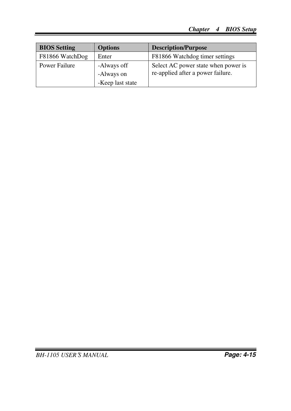| <b>BIOS</b> Setting | <b>Options</b>                                | <b>Description/Purpose</b>                                               |
|---------------------|-----------------------------------------------|--------------------------------------------------------------------------|
| F81866 WatchDog     | Enter                                         | F81866 Watchdog timer settings                                           |
| Power Failure       | -Always off<br>-Always on<br>-Keep last state | Select AC power state when power is<br>re-applied after a power failure. |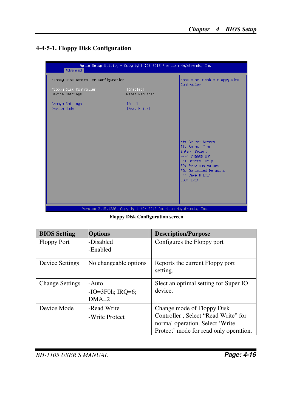### **4-4-5-1. Floppy Disk Configuration**

| Advanced                                  | Aptio Setup Utility – Copyright (C) 2012 American Megatrends, Inc. |                                                                                                                                                                                                |
|-------------------------------------------|--------------------------------------------------------------------|------------------------------------------------------------------------------------------------------------------------------------------------------------------------------------------------|
| Floppy Disk Controller Configuration      |                                                                    | Enable or Disable Floppy Disk<br>Controller                                                                                                                                                    |
| Floppy Disk Controller<br>Device Settings | [Enabled]<br>Reset Required                                        |                                                                                                                                                                                                |
| Change Settings<br>Device Mode            | [Auto]<br>[Read Write]                                             |                                                                                                                                                                                                |
|                                           |                                                                    | <b>++:</b> Select Screen<br><b>14:</b> Select Item<br>Enter: Select<br>$+/-:$ Change Opt.<br>F1: General Help<br>F2: Previous Values<br>F3: Optimized Defaults<br>F4: Save & Exit<br>ESC: Exit |
|                                           | Version 2.15.1236. Copyright (C) 2012 American Megatrends, Inc.    |                                                                                                                                                                                                |

**Floppy Disk Configuration screen** 

| <b>BIOS Setting</b>    | <b>Options</b>                          | <b>Description/Purpose</b>                                                                                                                     |
|------------------------|-----------------------------------------|------------------------------------------------------------------------------------------------------------------------------------------------|
| <b>Floppy Port</b>     | -Disabled<br>-Enabled                   | Configures the Floppy port                                                                                                                     |
| <b>Device Settings</b> | No changeable options                   | Reports the current Floppy port<br>setting.                                                                                                    |
| <b>Change Settings</b> | -Auto<br>$-IO=3F0h$ ; IRO=6;<br>$DMA=2$ | Slect an optimal setting for Super IO<br>device.                                                                                               |
| Device Mode            | -Read Write<br>-Write Protect           | Change mode of Floppy Disk<br>Controller, Select "Read Write" for<br>normal operation. Select 'Write<br>Protect' mode for read only operation. |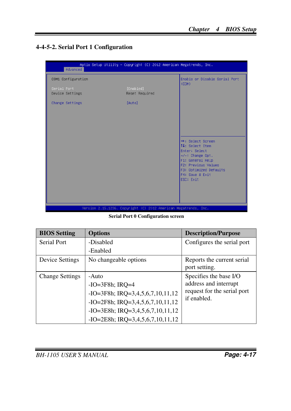### **4-4-5-2. Serial Port 1 Configuration**

| Advanced                       | Aptio Setup Utility – Copyright (C) 2012 American Megatrends, Inc. |                                                                                                                                                                                         |
|--------------------------------|--------------------------------------------------------------------|-----------------------------------------------------------------------------------------------------------------------------------------------------------------------------------------|
| COM1 Configuration             |                                                                    | Enable or Disable Serial Port<br>(COM)                                                                                                                                                  |
| Serial Port<br>Device Settings | [Enabled]<br>Reset Required                                        |                                                                                                                                                                                         |
| Change Settings                | [Auto]                                                             |                                                                                                                                                                                         |
|                                |                                                                    |                                                                                                                                                                                         |
|                                |                                                                    |                                                                                                                                                                                         |
|                                |                                                                    | <b>++:</b> Select Screen<br>14: Select Item<br>Enter: Select<br>$+/-:$ Change Opt.<br>F1: General Help<br>F2: Previous Values<br>F3: Optimized Defaults<br>F4: Save & Exit<br>ESC: Exit |
|                                | Version 2.15.1236. Copyright (C) 2012 American Megatrends, Inc.    |                                                                                                                                                                                         |

**Serial Port 0 Configuration screen** 

| <b>BIOS Setting</b>    | <b>Options</b>                        | <b>Description/Purpose</b>                  |
|------------------------|---------------------------------------|---------------------------------------------|
| Serial Port            | -Disabled                             | Configures the serial port                  |
|                        | -Enabled                              |                                             |
| <b>Device Settings</b> | No changeable options                 | Reports the current serial<br>port setting. |
| <b>Change Settings</b> | -Auto                                 | Specifies the base I/O                      |
|                        | $-IO=3F8h; IRQ=4$                     | address and interrupt                       |
|                        | $-IO=3F8h$ ; IRQ=3,4,5,6,7,10,11,12   | request for the serial port                 |
|                        | $-IO=2F8h$ ; IRQ=3,4,5,6,7,10,11,12   | if enabled.                                 |
|                        | $-IO = 3E8h$ ; IRQ=3,4,5,6,7,10,11,12 |                                             |
|                        | $-IO = 2E8h$ ; IRQ=3,4,5,6,7,10,11,12 |                                             |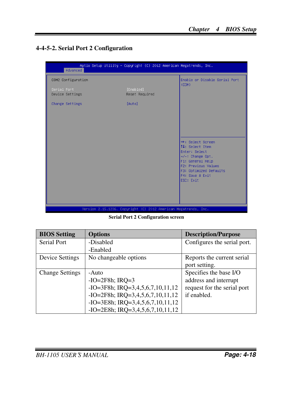### **4-4-5-2. Serial Port 2 Configuration**



**Serial Port 2 Configuration screen** 

| <b>BIOS Setting</b>    | <b>Options</b>                        | <b>Description/Purpose</b>  |
|------------------------|---------------------------------------|-----------------------------|
| Serial Port            | -Disabled                             | Configures the serial port. |
|                        | -Enabled                              |                             |
| <b>Device Settings</b> | No changeable options                 | Reports the current serial  |
|                        |                                       | port setting.               |
| <b>Change Settings</b> | -Auto                                 | Specifies the base I/O      |
|                        | $-IO=2F8h$ ; IRQ=3                    | address and interrupt       |
|                        | $-IO=3F8h$ ; IRQ=3,4,5,6,7,10,11,12   | request for the serial port |
|                        | $-IO=2F8h$ ; IRQ=3,4,5,6,7,10,11,12   | if enabled.                 |
|                        | $-IO = 3E8h$ ; IRQ=3,4,5,6,7,10,11,12 |                             |
|                        | $-IO = 2E8h$ ; IRQ=3,4,5,6,7,10,11,12 |                             |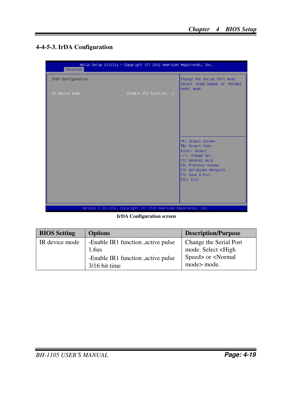### **4-4-5-3. IrDA Configuration**

| Advanced           | Aptio Setup Utility – Copyright (C) 2012 American Megatrends, Inc. |                                                                                                                                                                                         |
|--------------------|--------------------------------------------------------------------|-----------------------------------------------------------------------------------------------------------------------------------------------------------------------------------------|
| IrDA Configuration |                                                                    | Change the Serial Port mode.<br>Select <high speed=""> or <normal<br><math>mode</math> mode</normal<br></high>                                                                          |
| IR device mode     | [Enable IR1 function]                                              |                                                                                                                                                                                         |
|                    |                                                                    | <b>++:</b> Select Screen<br>14: Select Item<br>Enter: Select<br>$+/-:$ Change Opt.<br>F1: General Help<br>F2: Previous Values<br>F3: Optimized Defaults<br>F4: Save & Exit<br>ESC: Exit |
|                    | Version 2.15.1236. Copyright (C) 2012 American Megatrends, Inc.    |                                                                                                                                                                                         |

**IrDA Configuration screen** 

| <b>BIOS Setting</b> | <b>Options</b>                                                                                       | <b>Description/Purpose</b>                                                                                   |
|---------------------|------------------------------------------------------------------------------------------------------|--------------------------------------------------------------------------------------------------------------|
| IR device mode      | -Enable IR1 function , active pulse<br>1.6us<br>-Enable IR1 function , active pulse<br>3/16 bit time | Change the Serial Port<br>mode. Select <high<br>Speed&gt; or <normal<br>mode&gt; mode.</normal<br></high<br> |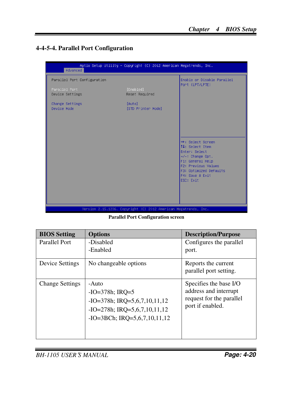### **4-4-5-4. Parallel Port Configuration**

| Advanced                         | Aptio Setup Utility – Copyright (C) 2012 American Megatrends, Inc. |                                                                                                          |
|----------------------------------|--------------------------------------------------------------------|----------------------------------------------------------------------------------------------------------|
| Parallel Port Configuration      |                                                                    | Enable or Disable Parallel                                                                               |
| Parallel Port<br>Device Settings | [Enabled]<br>Reset Required                                        | Port (LPT/LPTE)                                                                                          |
| Change Settings<br>Device Mode   | [Auto]<br>[STD Printer Mode]                                       |                                                                                                          |
|                                  |                                                                    | <b>++:</b> Select Screen<br>14: Select Item                                                              |
|                                  |                                                                    | Enter: Select<br>$+/-:$ Change Opt.<br>F1: General Help<br>F2: Previous Values<br>F3: Optimized Defaults |
|                                  |                                                                    | F4: Save & Exit<br>ESC: Exit                                                                             |
|                                  | Version 2.15.1236. Copyright (C) 2012 American Megatrends, Inc.    |                                                                                                          |

**Parallel Port Configuration screen** 

| <b>BIOS Setting</b>    | <b>Options</b>                                                                                                                      | <b>Description/Purpose</b>                                                                      |
|------------------------|-------------------------------------------------------------------------------------------------------------------------------------|-------------------------------------------------------------------------------------------------|
| Parallel Port          | -Disabled<br>-Enabled                                                                                                               | Configures the parallel<br>port.                                                                |
| Device Settings        | No changeable options                                                                                                               | Reports the current<br>parallel port setting.                                                   |
| <b>Change Settings</b> | -Auto<br>$-IO=378h; IRQ=5$<br>$-IO=378h$ ; IRQ=5,6,7,10,11,12<br>$-IO=278h$ ; IRQ=5,6,7,10,11,12<br>$-IO=3BCh$ ; IRQ=5,6,7,10,11,12 | Specifies the base I/O<br>address and interrupt<br>request for the parallel<br>port if enabled. |

*BH-1105 USER*′*S MANUAL* **Page: 4-20**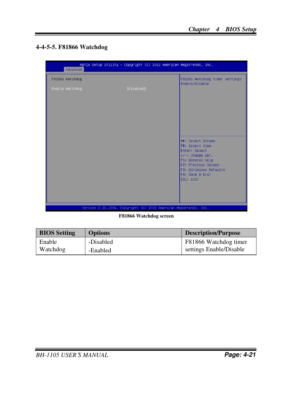### **4-4-5-5. F81866 Watchdog**

| Advanced        | Aptio Setup Utility – Copyright (C) 2012 American Megatrends, Inc. |                                                              |
|-----------------|--------------------------------------------------------------------|--------------------------------------------------------------|
| F81866 Watchdog |                                                                    | F81866 Watchdog timer settings<br>Enable/Disable             |
| Enable Watchdog | [Disabled]                                                         |                                                              |
|                 |                                                                    |                                                              |
|                 |                                                                    |                                                              |
|                 |                                                                    | <b>Ht: Select Screen</b><br>14: Select Item<br>Enter: Select |
|                 |                                                                    | +/-: Change Opt.<br>F1: General Help<br>F2: Previous Values  |
|                 |                                                                    | F3: Optimized Defaults<br>F4: Save & Exit<br>ESC: Exit       |
|                 |                                                                    |                                                              |
|                 | Version 2.15.1236. Copyright (C) 2012 American Megatrends, Inc.    |                                                              |

**F81866 Watchdog screen** 

| <b>BIOS</b> Setting | <b>Options</b> | Description/Purpose     |
|---------------------|----------------|-------------------------|
| Enable              | -Disabled      | F81866 Watchdog timer   |
| Watchdog            | -Enabled       | settings Enable/Disable |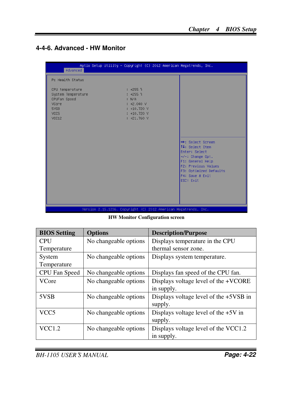### **4-4-6. Advanced - HW Monitor**

| Advanced                                                                                | Aptio Setup Utility – Copyright (C) 2012 American Megatrends, Inc.                                          |                                                                                                                                                                                         |
|-----------------------------------------------------------------------------------------|-------------------------------------------------------------------------------------------------------------|-----------------------------------------------------------------------------------------------------------------------------------------------------------------------------------------|
| Pc Health Status                                                                        |                                                                                                             |                                                                                                                                                                                         |
| CPU temperature<br>System Temperature<br>CPUFan Speed<br>VCore<br>5VSB<br>VCC5<br>VCC12 | $: +255$ $\delta$<br>$: +255$ î<br>: N/A<br>$: +2.040$ V<br>$: +10.720$ V<br>$: +10.720$ V<br>$: +21.760$ V | <b>++:</b> Select Screen<br>↑↓: Select Item<br>Enter: Select<br>$+/-:$ Change Opt.<br>F1: General Help<br>F2: Previous Values<br>F3: Optimized Defaults<br>F4: Save & Exit<br>ESC: Exit |
|                                                                                         | Version 2.15.1236. Copyright (C) 2012 American Megatrends, Inc.                                             |                                                                                                                                                                                         |

**HW Monitor Configuration screen** 

| <b>BIOS</b> Setting | <b>Options</b>        | <b>Description/Purpose</b>               |
|---------------------|-----------------------|------------------------------------------|
| <b>CPU</b>          | No changeable options | Displays temperature in the CPU          |
| Temperature         |                       | thermal sensor zone.                     |
| System              | No changeable options | Displays system temperature.             |
| Temperature         |                       |                                          |
| CPU Fan Speed       | No changeable options | Displays fan speed of the CPU fan.       |
| VCore               | No changeable options | Displays voltage level of the +VCORE     |
|                     |                       | in supply.                               |
| 5VSB                | No changeable options | Displays voltage level of the $+5VSB$ in |
|                     |                       | supply.                                  |
| VCC5                | No changeable options | Displays voltage level of the $+5V$ in   |
|                     |                       | supply.                                  |
| VCC1.2              | No changeable options | Displays voltage level of the VCC1.2     |
|                     |                       | in supply.                               |

*BH-1105 USER*′*S MANUAL* **Page: 4-22**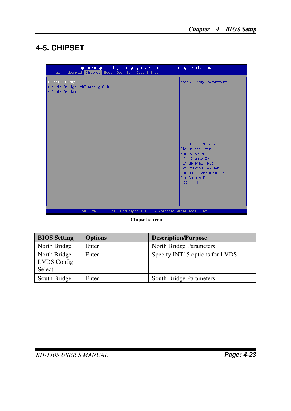# **4-5. CHIPSET**

| $\blacktriangleright$ North Bridge<br>North Bridge LVDS Config Select<br>South Bridge | North Bridge Parameters<br><b>++:</b> Select Screen<br>↑↓: Select Item<br>Enter: Select<br>$+/-:$ Change Opt.<br>F1: General Help<br>F2: Previous Values<br>F3: Optimized Defaults<br>F4: Save & Exit<br>ESC: Exit |
|---------------------------------------------------------------------------------------|--------------------------------------------------------------------------------------------------------------------------------------------------------------------------------------------------------------------|
| Version 2.15.1236. Copyright (C) 2012 American Megatrends, Inc.                       |                                                                                                                                                                                                                    |

**Chipset screen** 

| <b>BIOS</b> Setting                   | <b>Options</b> | <b>Description/Purpose</b>     |
|---------------------------------------|----------------|--------------------------------|
| North Bridge                          | Enter          | North Bridge Parameters        |
| North Bridge<br>LVDS Config<br>Select | Enter          | Specify INT15 options for LVDS |
| South Bridge                          | Enter          | South Bridge Parameters        |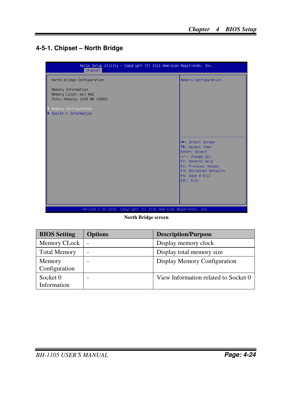### **4-5-1. Chipset – North Bridge**

| Aptio Setup Utility – Copyright (C) 2012 American Megatrends, Inc.<br>Chipset |                                                                                                                                                                                                |
|-------------------------------------------------------------------------------|------------------------------------------------------------------------------------------------------------------------------------------------------------------------------------------------|
| North Bridge Configuration                                                    | Memory Configuration                                                                                                                                                                           |
| Memory Information<br>Memory Clock: 667 MHZ<br>Total Memory: 1008 MB (DDR3)   |                                                                                                                                                                                                |
| Memory Configuration<br>Socket 0 Information                                  |                                                                                                                                                                                                |
|                                                                               | <b>++:</b> Select Screen<br>↑↓: Select Item<br>Enter: Select<br>$+/-:$ Change Opt.<br>F1: General Help<br><b>F2: Previous Values</b><br>F3: Optimized Defaults<br>F4: Save & Exit<br>ESC: Exit |
| Version 2.15.1236. Copyright (C) 2012 American Megatrends, Inc.               |                                                                                                                                                                                                |

**North Bridge screen** 

| <b>BIOS Setting</b>     | <b>Options</b> | <b>Description/Purpose</b>           |
|-------------------------|----------------|--------------------------------------|
| Memory CLock            | ۰              | Display memory clock                 |
| <b>Total Memory</b>     |                | Display total memory size            |
| Memory<br>Configuration |                | Display Memory Configuration         |
| Socket 0<br>Information |                | View Information related to Socket 0 |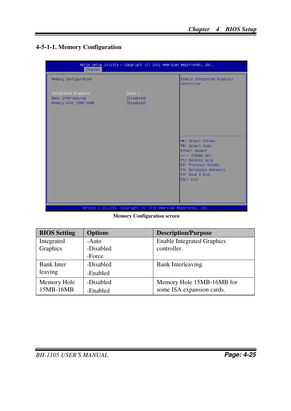### **4-5-1-1. Memory Configuration**

| Aptio Setup Utility – Copyright (C) 2012 American Megatrends, Inc.<br>Chipset |                                                                 |                                                                                                                                                                                                 |  |
|-------------------------------------------------------------------------------|-----------------------------------------------------------------|-------------------------------------------------------------------------------------------------------------------------------------------------------------------------------------------------|--|
| Memory Configuration                                                          |                                                                 | Enable Integrated Graphics<br>controller                                                                                                                                                        |  |
| Integrated Graphics<br>Bank Interleaving<br>Memory Hole 15MB-16MB             | [Auto ]<br>[Disabled]<br>[Disabled]                             | <b>++:</b> Select Screen<br><b>14:</b> Select Item<br>Enter: Select<br>$+/-$ : Change Opt.<br>F1: General Help<br>F2: Previous Values<br>F3: Optimized Defaults<br>F4: Save & Exit<br>ESC: Exit |  |
|                                                                               | Version 2.15.1236. Copyright (C) 2012 American Megatrends, Inc. |                                                                                                                                                                                                 |  |

**Memory Configuration screen** 

| <b>BIOS Setting</b> | <b>Options</b> | <b>Description/Purpose</b>        |
|---------------------|----------------|-----------------------------------|
| Integrated          | -Auto          | <b>Enable Integrated Graphics</b> |
| Graphics            | -Disabled      | controller.                       |
|                     | -Force         |                                   |
| <b>Bank Inter</b>   | -Disabled      | Bank Interleaving.                |
| leaving             | -Enabled       |                                   |
| Memory Hole         | -Disabled      | Memory Hole 15MB-16MB for         |
| 15MB-16MB           | -Enabled       | some ISA expansion cards.         |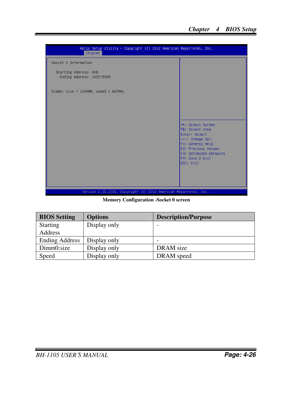

**Memory Configuration -Socket 0 screen** 

| <b>BIOS</b> Setting   | <b>Options</b> | <b>Description/Purpose</b> |
|-----------------------|----------------|----------------------------|
| <b>Starting</b>       | Display only   |                            |
| Address               |                |                            |
| <b>Ending Address</b> | Display only   |                            |
| Dimm0:size            | Display only   | DRAM size                  |
| Speed                 | Display only   | DRAM speed                 |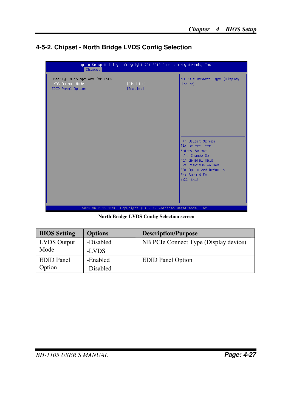### **4-5-2. Chipset - North Bridge LVDS Config Selection**

| Specify INT15 options for LVDS<br>LVDS Output Mode<br>[Disabled]<br>device)<br>[Enabled]<br>EDID Panel Option<br><b>++:</b> Select Screen<br>14: Select Item<br>Enter: Select<br>$+/-:$ Change Opt.<br>F1: General Help<br><b>F2: Previous Values</b><br>F3: Optimized Defaults<br>F4: Save & Exit<br>ESC: Exit | Chipset | Aptio Setup Utility - Copyright (C) 2012 American Megatrends, Inc. |                               |
|-----------------------------------------------------------------------------------------------------------------------------------------------------------------------------------------------------------------------------------------------------------------------------------------------------------------|---------|--------------------------------------------------------------------|-------------------------------|
|                                                                                                                                                                                                                                                                                                                 |         |                                                                    | NB PCIe Connect Type (Display |
| Version 2.15.1236. Copyright (C) 2012 American Megatrends, Inc.                                                                                                                                                                                                                                                 |         |                                                                    |                               |

**North Bridge LVDS Config Selection screen** 

| <b>BIOS</b> Setting | <b>Options</b> | <b>Description/Purpose</b>            |
|---------------------|----------------|---------------------------------------|
| <b>LVDS</b> Output  | -Disabled      | NB PCIe Connect Type (Display device) |
| Mode                | -LVDS          |                                       |
| <b>EDID</b> Panel   | -Enabled       | <b>EDID</b> Panel Option              |
| Option              | -Disabled      |                                       |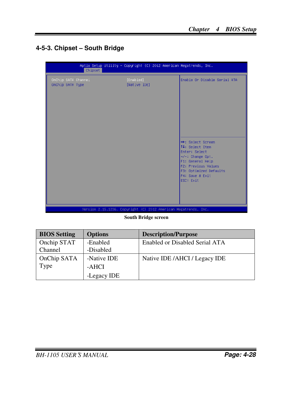## **4-5-3. Chipset – South Bridge**

|                                         | Chipset | Aptio Setup Utility - Copyright (C) 2012 American Megatrends, Inc. |                                                                                                                                                                                         |
|-----------------------------------------|---------|--------------------------------------------------------------------|-----------------------------------------------------------------------------------------------------------------------------------------------------------------------------------------|
| OnChip SATA Channel<br>OnChip SATA Type |         | [Enabled]<br>[Native IDE]                                          | Enable Or Disable Serial ATA                                                                                                                                                            |
|                                         |         | Version 2.15.1236. Copyright (C) 2012 American Megatrends, Inc.    | <b>++:</b> Select Screen<br>↑↓: Select Item<br>Enter: Select<br>$+/-:$ Change Opt.<br>F1: General Help<br>F2: Previous Values<br>F3: Optimized Defaults<br>F4: Save & Exit<br>ESC: Exit |

**South Bridge screen** 

| <b>BIOS</b> Setting | <b>Options</b> | <b>Description/Purpose</b>     |
|---------------------|----------------|--------------------------------|
| Onchip STAT         | -Enabled       | Enabled or Disabled Serial ATA |
| Channel             | -Disabled      |                                |
| OnChip SATA         | -Native IDE    | Native IDE /AHCI / Legacy IDE  |
| Type                | -AHCI          |                                |
|                     | -Legacy IDE    |                                |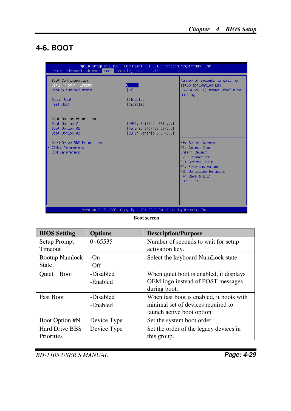## **4-6. BOOT**

| Main Advanced Chipset Boot Security Save & Exit                              | Aptio Setup Utility - Copyright (C) 2012 American Megatrends, Inc.    |                                                                                                                                                                                         |
|------------------------------------------------------------------------------|-----------------------------------------------------------------------|-----------------------------------------------------------------------------------------------------------------------------------------------------------------------------------------|
| Boot Configuration<br>Setup Prompt Timeout<br>Bootup NumLock State           | lo –<br>[0n]                                                          | Number of seconds to wait for<br>setup activation key.<br>65535(OxFFFF) means indefinite<br>waiting.                                                                                    |
| Quiet Boot<br>Fast Boot                                                      | [Disabled]<br>[Disabled]                                              |                                                                                                                                                                                         |
| Boot Option Priorities<br>Boot Option #1<br>Boot Option #2<br>Boot Option #3 | fUEFI: Built-in EFI<br>[Generic STORAGE DEV]<br>[UEFI: Generic STORA] |                                                                                                                                                                                         |
| Hard Drive BBS Priorities<br>CSM16 Parameters<br>CSM parameters              |                                                                       | <b>++:</b> Select Screen<br>↑↓: Select Item<br>Enter: Select<br>$+/-:$ Change Opt.<br>F1: General Help<br>F2: Previous Values<br>F3: Optimized Defaults<br>F4: Save & Exit<br>ESC: Exit |
|                                                                              | Version 2.15.1236. Copyright (C) 2012 American Megatrends, Inc.       |                                                                                                                                                                                         |

**Boot screen** 

| <b>BIOS</b> Setting   | <b>Options</b> | <b>Description/Purpose</b>               |
|-----------------------|----------------|------------------------------------------|
| Setup Prompt          | $0 - 65535$    | Number of seconds to wait for setup      |
| <b>Timeout</b>        |                | activation key.                          |
| <b>Bootup Numlock</b> | $-On$          | Select the keyboard NumLock state        |
| <b>State</b>          | $-Off$         |                                          |
| Ouiet<br><b>Boot</b>  | -Disabled      | When quiet boot is enabled, it displays  |
|                       | -Enabled       | OEM logo instead of POST messages        |
|                       |                | during boot.                             |
| <b>Fast Boot</b>      | -Disabled      | When fast boot is enabled, it boots with |
|                       | -Enabled       | minimal set of devices required to       |
|                       |                | launch active boot option.               |
| <b>Boot Option #N</b> | Device Type    | Set the system boot order                |
| <b>Hard Drive BBS</b> | Device Type    | Set the order of the legacy devices in   |
| Priorities            |                | this group.                              |

*BH-1105 USER*′*S MANUAL* **Page: 4-29**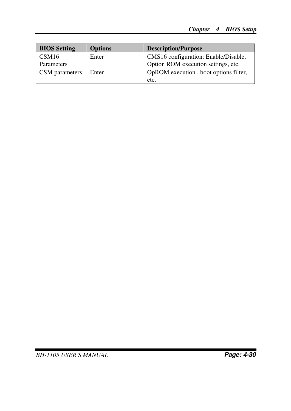| <b>BIOS</b> Setting | <b>Options</b> | <b>Description/Purpose</b>            |
|---------------------|----------------|---------------------------------------|
| CSM16               | Enter          | CMS16 configuration: Enable/Disable,  |
| Parameters          |                | Option ROM execution settings, etc.   |
| CSM parameters      | Enter          | OpROM execution, boot options filter, |
|                     |                | etc.                                  |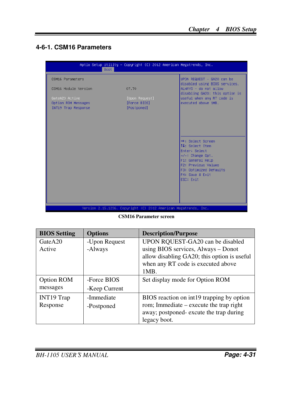## **4-6-1. CSM16 Parameters**

|                                                              | Aptio Setup Utility – Copyright (C) 2012 American Megatrends, Inc.<br>Boot - |                                                                      |
|--------------------------------------------------------------|------------------------------------------------------------------------------|----------------------------------------------------------------------|
| CSM16 Parameters                                             |                                                                              | UPON REQUEST - GA20 can be<br>disabled using BIOS services.          |
| CSM16 Module Version                                         | 07.70                                                                        | ALWAYS - do not allow<br>disabling GA20; this option is              |
| GateA20 Active<br>Option ROM Messages<br>INT19 Trap Response | [Upon Request]<br>[Force BIOS]<br>[Postponed]                                | useful when any RT code is<br>executed above 1MB.                    |
|                                                              |                                                                              |                                                                      |
|                                                              |                                                                              |                                                                      |
|                                                              |                                                                              | <b>++:</b> Select Screen                                             |
|                                                              |                                                                              | ↑↓: Select Item<br>Enter: Select                                     |
|                                                              |                                                                              | $+/-:$ Change Opt.<br>F1: General Help<br><b>F2: Previous Values</b> |
|                                                              |                                                                              | F3: Optimized Defaults<br>F4: Save & Exit                            |
|                                                              |                                                                              | ESC: Exit                                                            |
|                                                              |                                                                              |                                                                      |
|                                                              | Version 2.15.1236. Copyright (C) 2012 American Megatrends, Inc.              |                                                                      |

**CSM16 Parameter screen** 

| <b>BIOS Setting</b> | <b>Options</b> | <b>Description/Purpose</b>                  |
|---------------------|----------------|---------------------------------------------|
| GateA20             | -Upon Request  | UPON RQUEST-GA20 can be disabled            |
| Active              | -Always        | using BIOS services, Always - Donot         |
|                     |                | allow disabling GA20; this option is useful |
|                     |                | when any RT code is executed above          |
|                     |                | 1MB.                                        |
| Option ROM          | -Force BIOS    | Set display mode for Option ROM             |
| messages            | -Keep Current  |                                             |
| <b>INT19 Trap</b>   | -Immediate     | BIOS reaction on int19 trapping by option   |
| Response            | -Postponed     | rom; Immediate – execute the trap right     |
|                     |                | away; postponed-excute the trap during      |
|                     |                | legacy boot.                                |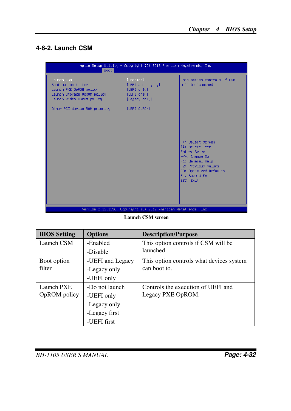#### **4-6-2. Launch CSM**

| Boot.                                                                                                                                                    | Aptio Setup Utility – Copyright (C) 2012 American Megatrends, Inc.                            |                                                                                                                                                                                         |
|----------------------------------------------------------------------------------------------------------------------------------------------------------|-----------------------------------------------------------------------------------------------|-----------------------------------------------------------------------------------------------------------------------------------------------------------------------------------------|
| Launch CSM<br>Boot option filter<br>Launch PXE OpROM policy<br>Launch Storage OpROM policy<br>Launch Video OpROM policy<br>Other PCI device ROM priority | [Enabled]<br>[UEFI and Legacy]<br>[UEFI only]<br>[UEFI only]<br>[Legacy only]<br>[UEFI OpROM] | This option controls if CSM<br>will be launched                                                                                                                                         |
|                                                                                                                                                          |                                                                                               | <b>++:</b> Select Screen<br>↑↓: Select Item<br>Enter: Select<br>$+/-:$ Change Opt.<br>F1: General Help<br>F2: Previous Values<br>F3: Optimized Defaults<br>F4: Save & Exit<br>ESC: Exit |
|                                                                                                                                                          | Version 2.15.1236. Copyright (C) 2012 American Megatrends, Inc.                               |                                                                                                                                                                                         |

**Launch CSM screen** 

| <b>BIOS</b> Setting | <b>Options</b>   | <b>Description/Purpose</b>               |
|---------------------|------------------|------------------------------------------|
| Launch CSM          | -Enabled         | This option controls if CSM will be      |
|                     | -Disable         | launched.                                |
| Boot option         | -UEFI and Legacy | This option controls what devices system |
| filter              | -Legacy only     | can boot to.                             |
|                     | -UEFI only       |                                          |
| Launch PXE          | -Do not launch   | Controls the execution of UEFI and       |
| OpROM policy        | -UEFI only       | Legacy PXE OpROM.                        |
|                     | -Legacy only     |                                          |
|                     | -Legacy first    |                                          |
|                     | -UEFI first      |                                          |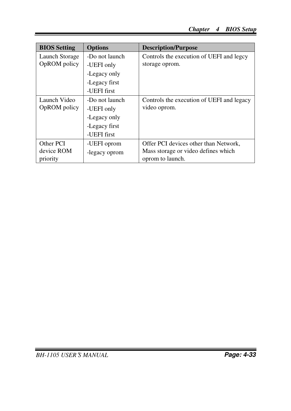| <b>BIOS</b> Setting | <b>Options</b> | <b>Description/Purpose</b>                |
|---------------------|----------------|-------------------------------------------|
| Launch Storage      | -Do not launch | Controls the execution of UEFI and legcy  |
| OpROM policy        | -UEFI only     | storage oprom.                            |
|                     | -Legacy only   |                                           |
|                     | -Legacy first  |                                           |
|                     | -UEFI first    |                                           |
| Launch Video        | -Do not launch | Controls the execution of UEFI and legacy |
| OpROM policy        | -UEFI only     | video oprom.                              |
|                     | -Legacy only   |                                           |
|                     | -Legacy first  |                                           |
|                     | -UEFI first    |                                           |
| Other PCI           | -UEFI oprom    | Offer PCI devices other than Network,     |
| device ROM          | -legacy oprom  | Mass storage or video defines which       |
| priority            |                | oprom to launch.                          |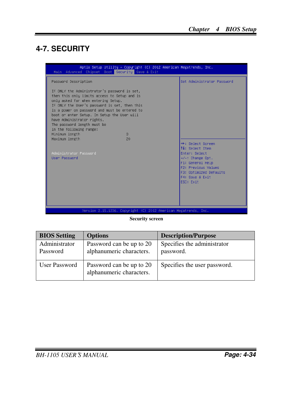# **4-7. SECURITY**

| Main Advanced Chipset Boot Security Save & Exit                                                                                                                                                                                                                                                                                                                                                | Aptio Setup Utility – Copyright (C) 2012 American Megatrends, Inc. |                                                                                                                                                                  |
|------------------------------------------------------------------------------------------------------------------------------------------------------------------------------------------------------------------------------------------------------------------------------------------------------------------------------------------------------------------------------------------------|--------------------------------------------------------------------|------------------------------------------------------------------------------------------------------------------------------------------------------------------|
| Password Description                                                                                                                                                                                                                                                                                                                                                                           |                                                                    | Set Administrator Password                                                                                                                                       |
| If ONLY the Administrator's password is set,<br>then this only limits access to Setup and is<br>only asked for when entering Setup.<br>If ONLY the User's password is set, then this<br>is a power on password and must be entered to<br>boot or enter Setup. In Setup the User will<br>have Administrator rights.<br>The password length must be<br>in the following range:<br>Minimum length | $\mathcal{B}$                                                      |                                                                                                                                                                  |
| Maximum length                                                                                                                                                                                                                                                                                                                                                                                 | 20                                                                 |                                                                                                                                                                  |
| Administrator Password<br>Enter: Select<br>User Password<br>ESC: Exit                                                                                                                                                                                                                                                                                                                          |                                                                    | <b>++:</b> Select Screen<br><b>14:</b> Select Item<br>$+/-:$ Change Opt.<br>F1: General Help<br>F2: Previous Values<br>F3: Optimized Defaults<br>F4: Save & Exit |
|                                                                                                                                                                                                                                                                                                                                                                                                | Version 2.15.1236. Copyright (C) 2012 American Megatrends, Inc.    |                                                                                                                                                                  |

#### **Security screen**

| <b>BIOS Setting</b>       | <b>Options</b>                                       | <b>Description/Purpose</b>               |
|---------------------------|------------------------------------------------------|------------------------------------------|
| Administrator<br>Password | Password can be up to 20<br>alphanumeric characters. | Specifies the administrator<br>password. |
| User Password             | Password can be up to 20<br>alphanumeric characters. | Specifies the user password.             |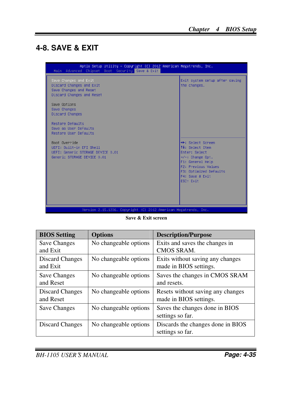## **4-8. SAVE & EXIT**

| Aptio Setup Utility – Copyright (C) 2012 American Megatrends, Inc.<br>Main Advanced Chipset Boot Security Save & Exit |                                                                                                                                                                                                |
|-----------------------------------------------------------------------------------------------------------------------|------------------------------------------------------------------------------------------------------------------------------------------------------------------------------------------------|
| Save Changes and Exit<br>Discard Changes and Exit<br>Save Changes and Reset<br>Discard Changes and Reset              | Exit system setup after saving<br>the changes.                                                                                                                                                 |
| Save Options<br>Save Changes<br><b>Discard Changes</b>                                                                |                                                                                                                                                                                                |
| Restore Defaults<br>Save as User Defaults<br>Restore User Defaults                                                    |                                                                                                                                                                                                |
| Boot Override<br>UEFI: Built-in EFI Shell<br>UEFI: Generic STORAGE DEVICE 0.01<br>Generic STORAGE DEVICE 0.01         | <b>**:</b> Select Screen<br>14: Select Item<br>Enter: Select<br>$+/-:$ Change Opt.<br>F1: General Help<br><b>F2: Previous Values</b><br>F3: Optimized Defaults<br>F4: Save & Exit<br>ESC: Exit |
| Version 2.15.1236. Copyright (C) 2012 American Megatrends, Inc.                                                       |                                                                                                                                                                                                |

**Save & Exit screen** 

| <b>BIOS Setting</b>          | <b>Options</b>        | <b>Description/Purpose</b>                                  |
|------------------------------|-----------------------|-------------------------------------------------------------|
| Save Changes<br>and Exit     | No changeable options | Exits and saves the changes in<br>CMOS SRAM.                |
| Discard Changes<br>and Exit  | No changeable options | Exits without saving any changes<br>made in BIOS settings.  |
| Save Changes<br>and Reset    | No changeable options | Saves the changes in CMOS SRAM<br>and resets.               |
| Discard Changes<br>and Reset | No changeable options | Resets without saving any changes<br>made in BIOS settings. |
| <b>Save Changes</b>          | No changeable options | Saves the changes done in BIOS<br>settings so far.          |
| Discard Changes              | No changeable options | Discards the changes done in BIOS<br>settings so far.       |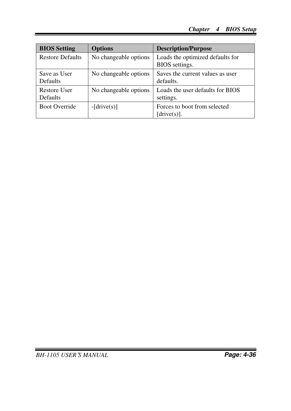| <b>BIOS</b> Setting             | <b>Options</b>        | <b>Description/Purpose</b>                         |
|---------------------------------|-----------------------|----------------------------------------------------|
| <b>Restore Defaults</b>         | No changeable options | Loads the optimized defaults for<br>BIOS settings. |
| Save as User<br><b>Defaults</b> | No changeable options | Saves the current values as user<br>defaults.      |
| Restore User<br><b>Defaults</b> | No changeable options | Loads the user defaults for BIOS<br>settings.      |
| <b>Boot Override</b>            | $-[drive(s)]$         | Forces to boot from selected<br>$[drive(s)]$ .     |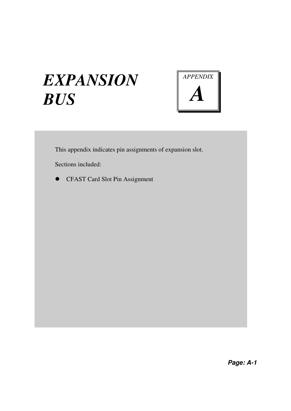# *EXPANSION BUS*



This appendix indicates pin assignments of expansion slot.

Sections included:

CFAST Card Slot Pin Assignment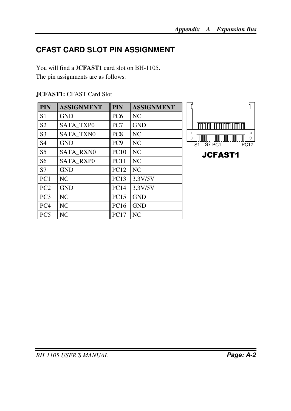# **CFAST CARD SLOT PIN ASSIGNMENT**

You will find a J**CFAST1** card slot on BH-1105. The pin assignments are as follows:

| <b>PIN</b>      | <b>ASSIGNMENT</b> | PIN             | <b>ASSIGNMENT</b> |
|-----------------|-------------------|-----------------|-------------------|
| S <sub>1</sub>  | <b>GND</b>        | PC <sub>6</sub> | NC.               |
| S <sub>2</sub>  | <b>SATA TXPO</b>  | PC7             | <b>GND</b>        |
| S <sub>3</sub>  | <b>SATA TXN0</b>  | PC <sub>8</sub> | NC.               |
| S <sub>4</sub>  | <b>GND</b>        | PC <sub>9</sub> | NC.               |
| S <sub>5</sub>  | <b>SATA RXN0</b>  | <b>PC10</b>     | <b>NC</b>         |
| S <sub>6</sub>  | <b>SATA RXPO</b>  | <b>PC11</b>     | NC                |
| S7              | <b>GND</b>        | PC12            | <b>NC</b>         |
| PC <sub>1</sub> | NC.               | PC13            | 3.3V/5V           |
| PC <sub>2</sub> | <b>GND</b>        | <b>PC14</b>     | 3.3V/5V           |
| PC <sub>3</sub> | NC                | <b>PC15</b>     | <b>GND</b>        |
| PC <sub>4</sub> | NC                | <b>PC16</b>     | <b>GND</b>        |
| PC <sub>5</sub> | NC                | <b>PC17</b>     | NC                |

**JCFAST1:** CFAST Card Slot



S1 S7 PC1 PC17 JCFAST1

TTTTTTT

 $\circ$ 

 $\circ$ 

דדודו

 $\circ$ 

 $\circ$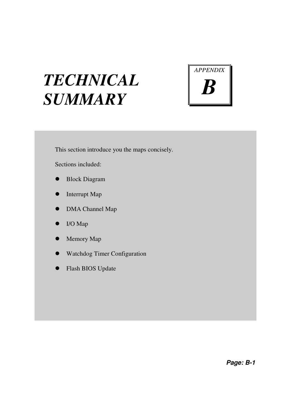# *TECHNICAL SUMMARY*



This section introduce you the maps concisely.

Sections included:

- Block Diagram
- Interrupt Map
- DMA Channel Map
- I/O Map
- Memory Map
- Watchdog Timer Configuration
- Flash BIOS Update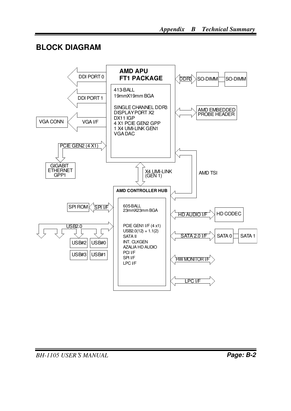## **BLOCK DIAGRAM**

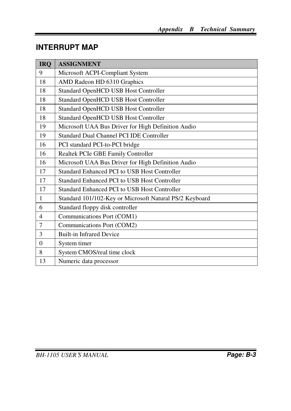# **INTERRUPT MAP**

| <b>IRQ</b>               | <b>ASSIGNMENT</b>                                       |
|--------------------------|---------------------------------------------------------|
| 9                        | Microsoft ACPI-Compliant System                         |
| 18                       | AMD Radeon HD 6310 Graphics                             |
| 18                       | Standard OpenHCD USB Host Controller                    |
| 18                       | <b>Standard OpenHCD USB Host Controller</b>             |
| 18                       | <b>Standard OpenHCD USB Host Controller</b>             |
| 18                       | Standard OpenHCD USB Host Controller                    |
| 19                       | Microsoft UAA Bus Driver for High Definition Audio      |
| 19                       | Standard Dual Channel PCI IDE Controller                |
| 16                       | PCI standard PCI-to-PCI bridge                          |
| 16                       | Realtek PCIe GBE Family Controller                      |
| 16                       | Microsoft UAA Bus Driver for High Definition Audio      |
| 17                       | Standard Enhanced PCI to USB Host Controller            |
| 17                       | Standard Enhanced PCI to USB Host Controller            |
| 17                       | Standard Enhanced PCI to USB Host Controller            |
| $\mathbf{1}$             | Standard 101/102-Key or Microsoft Natural PS/2 Keyboard |
| 6                        | Standard floppy disk controller                         |
| $\overline{\mathcal{L}}$ | Communications Port (COM1)                              |
| $\tau$                   | Communications Port (COM2)                              |
| 3                        | <b>Built-in Infrared Device</b>                         |
| $\Omega$                 | System timer                                            |
| 8                        | System CMOS/real time clock                             |
| 13                       | Numeric data processor                                  |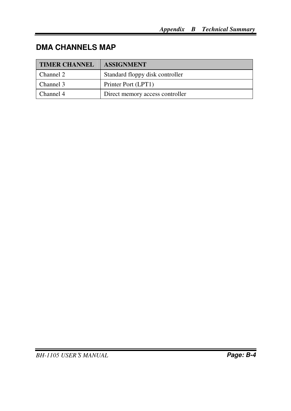# **DMA CHANNELS MAP**

| <b>TIMER CHANNEL</b> | <b>ASSIGNMENT</b>               |
|----------------------|---------------------------------|
| Channel 2            | Standard floppy disk controller |
| Channel 3            | Printer Port (LPT1)             |
| Channel 4            | Direct memory access controller |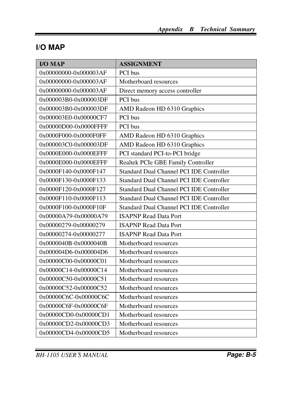# **I/O MAP**

| <b>I/O MAP</b>        | <b>ASSIGNMENT</b>                        |
|-----------------------|------------------------------------------|
| 0x00000000-0x000003AF | PCI bus                                  |
| 0x00000000-0x000003AF | Motherboard resources                    |
| 0x00000000-0x000003AF | Direct memory access controller          |
| 0x000003B0-0x000003DF | PCI bus                                  |
| 0x000003B0-0x000003DF | AMD Radeon HD 6310 Graphics              |
| 0x000003E0-0x00000CF7 | PCI bus                                  |
| 0x00000D00-0x0000FFFF | PCI bus                                  |
| 0x0000F000-0x0000F0FF | AMD Radeon HD 6310 Graphics              |
| 0x000003C0-0x000003DF | AMD Radeon HD 6310 Graphics              |
| 0x0000E000-0x0000EFFF | PCI standard PCI-to-PCI bridge           |
| 0x0000E000-0x0000EFFF | Realtek PCIe GBE Family Controller       |
| 0x0000F140-0x0000F147 | Standard Dual Channel PCI IDE Controller |
| 0x0000F130-0x0000F133 | Standard Dual Channel PCI IDE Controller |
| 0x0000F120-0x0000F127 | Standard Dual Channel PCI IDE Controller |
| 0x0000F110-0x0000F113 | Standard Dual Channel PCI IDE Controller |
| 0x0000F100-0x0000F10F | Standard Dual Channel PCI IDE Controller |
| 0x00000A79-0x00000A79 | <b>ISAPNP Read Data Port</b>             |
| 0x00000279-0x00000279 | <b>ISAPNP Read Data Port</b>             |
| 0x00000274-0x00000277 | <b>ISAPNP Read Data Port</b>             |
| 0x0000040B-0x0000040B | Motherboard resources                    |
| 0x000004D6-0x000004D6 | Motherboard resources                    |
| 0x00000C00-0x00000C01 | Motherboard resources                    |
| 0x00000C14-0x00000C14 | Motherboard resources                    |
| 0x00000C50-0x00000C51 | Motherboard resources                    |
| 0x00000C52-0x00000C52 | Motherboard resources                    |
| 0x00000C6C-0x00000C6C | Motherboard resources                    |
| 0x00000C6F-0x00000C6F | Motherboard resources                    |
| 0x00000CD0-0x00000CD1 | Motherboard resources                    |
| 0x00000CD2-0x00000CD3 | Motherboard resources                    |
| 0x00000CD4-0x00000CD5 | Motherboard resources                    |

*BH-1105 USER*′*S MANUAL* **Page: B-5**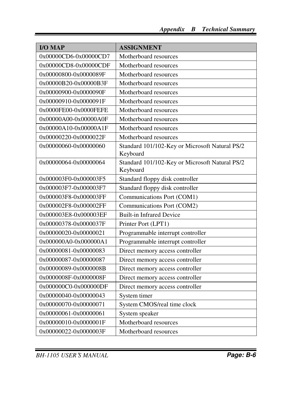| <b>I/O MAP</b>        | <b>ASSIGNMENT</b>                                          |
|-----------------------|------------------------------------------------------------|
| 0x00000CD6-0x00000CD7 | Motherboard resources                                      |
| 0x00000CD8-0x00000CDF | Motherboard resources                                      |
| 0x00000800-0x0000089F | Motherboard resources                                      |
| 0x00000B20-0x00000B3F | Motherboard resources                                      |
| 0x00000900-0x0000090F | Motherboard resources                                      |
| 0x00000910-0x0000091F | Motherboard resources                                      |
| 0x0000FE00-0x0000FEFE | Motherboard resources                                      |
| 0x00000A00-0x00000A0F | Motherboard resources                                      |
| 0x00000A10-0x00000A1F | Motherboard resources                                      |
| 0x00000220-0x0000022F | Motherboard resources                                      |
| 0x00000060-0x00000060 | Standard 101/102-Key or Microsoft Natural PS/2<br>Keyboard |
| 0x00000064-0x00000064 | Standard 101/102-Key or Microsoft Natural PS/2<br>Keyboard |
| 0x000003F0-0x000003F5 | Standard floppy disk controller                            |
| 0x000003F7-0x000003F7 | Standard floppy disk controller                            |
| 0x000003F8-0x000003FF | Communications Port (COM1)                                 |
| 0x000002F8-0x000002FF | Communications Port (COM2)                                 |
| 0x000003E8-0x000003EF | <b>Built-in Infrared Device</b>                            |
| 0x00000378-0x0000037F | Printer Port (LPT1)                                        |
| 0x00000020-0x00000021 | Programmable interrupt controller                          |
| 0x000000A0-0x000000A1 | Programmable interrupt controller                          |
| 0x00000081-0x00000083 | Direct memory access controller                            |
| 0x00000087-0x00000087 | Direct memory access controller                            |
| 0x00000089-0x0000008B | Direct memory access controller                            |
| 0x0000008F-0x0000008F | Direct memory access controller                            |
| 0x000000C0-0x000000DF | Direct memory access controller                            |
| 0x00000040-0x00000043 | System timer                                               |
| 0x00000070-0x00000071 | System CMOS/real time clock                                |
| 0x00000061-0x00000061 | System speaker                                             |
| 0x00000010-0x0000001F | Motherboard resources                                      |
| 0x00000022-0x0000003F | Motherboard resources                                      |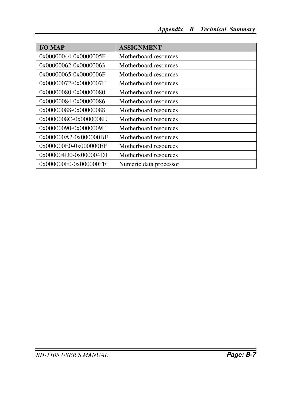| $IO MAP$              | <b>ASSIGNMENT</b>      |
|-----------------------|------------------------|
| 0x00000044-0x0000005F | Motherboard resources  |
| 0x00000062-0x00000063 | Motherboard resources  |
| 0x00000065-0x0000006F | Motherboard resources  |
| 0x00000072-0x0000007F | Motherboard resources  |
| 0x00000080-0x00000080 | Motherboard resources  |
| 0x00000084-0x00000086 | Motherboard resources  |
| 0x00000088-0x00000088 | Motherboard resources  |
| 0x0000008C-0x0000008E | Motherboard resources  |
| 0x00000090-0x0000009F | Motherboard resources  |
| 0x000000A2-0x000000BF | Motherboard resources  |
| 0x000000E0-0x000000EF | Motherboard resources  |
| 0x000004D0-0x000004D1 | Motherboard resources  |
| 0x000000F0-0x000000FF | Numeric data processor |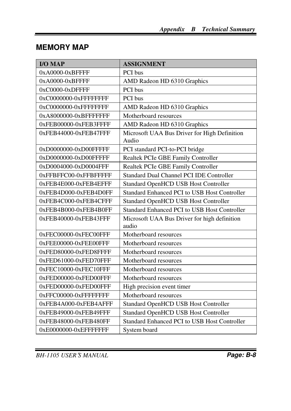# **MEMORY MAP**

| <b>I/O MAP</b>         | <b>ASSIGNMENT</b>                                     |
|------------------------|-------------------------------------------------------|
| 0xA0000-0xBFFFF        | PCI bus                                               |
| 0xA0000-0xBFFFF        | AMD Radeon HD 6310 Graphics                           |
| 0xC0000-0xDFFFF        | PCI bus                                               |
| 0xC0000000-0xFFFFFFFF  | PCI bus                                               |
| 0xC0000000-0xFFFFFFFFF | AMD Radeon HD 6310 Graphics                           |
| 0xA8000000-0xBFFFFFFFF | Motherboard resources                                 |
| 0xFEB00000-0xFEB3FFFF  | AMD Radeon HD 6310 Graphics                           |
| 0xFEB44000-0xFEB47FFF  | Microsoft UAA Bus Driver for High Definition<br>Audio |
| 0xD0000000-0xD00FFFFF  | PCI standard PCI-to-PCI bridge                        |
| 0xD0000000-0xD00FFFFF  | Realtek PCIe GBE Family Controller                    |
| 0xD0004000-0xD0004FFF  | Realtek PCIe GBE Family Controller                    |
| 0xFFBFFC00-0xFFBFFFFF  | Standard Dual Channel PCI IDE Controller              |
| 0xFEB4E000-0xFEB4EFFF  | Standard OpenHCD USB Host Controller                  |
| 0xFEB4D000-0xFEB4D0FF  | Standard Enhanced PCI to USB Host Controller          |
| 0xFEB4C000-0xFEB4CFFF  | Standard OpenHCD USB Host Controller                  |
| 0xFEB4B000-0xFEB4B0FF  | Standard Enhanced PCI to USB Host Controller          |
| 0xFEB40000-0xFEB43FFF  | Microsoft UAA Bus Driver for high definition<br>audio |
| 0xFEC00000-0xFEC00FFF  | Motherboard resources                                 |
| 0xFEE00000-0xFEE00FFF  | Motherboard resources                                 |
| 0xFED80000-0xFED8FFFF  | Motherboard resources                                 |
| 0xFED61000-0xFED70FFF  | Motherboard resources                                 |
| 0xFEC10000-0xFEC10FFF  | Motherboard resources                                 |
| 0xFED00000-0xFED00FFF  | Motherboard resources                                 |
| 0xFED00000-0xFED00FFF  | High precision event timer                            |
| 0xFFC00000-0xFFFFFFFFF | Motherboard resources                                 |
| 0xFEB4A000-0xFEB4AFFF  | <b>Standard OpenHCD USB Host Controller</b>           |
| 0xFEB49000-0xFEB49FFF  | Standard OpenHCD USB Host Controller                  |
| 0xFEB48000-0xFEB480FF  | Standard Enhanced PCI to USB Host Controller          |
| 0xE0000000-0xEFFFFFFF  | System board                                          |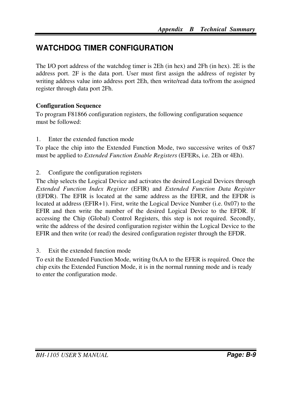# **WATCHDOG TIMER CONFIGURATION**

The I/O port address of the watchdog timer is 2Eh (in hex) and 2Fh (in hex). 2E is the address port. 2F is the data port. User must first assign the address of register by writing address value into address port 2Eh, then write/read data to/from the assigned register through data port 2Fh.

#### **Configuration Sequence**

To program F81866 configuration registers, the following configuration sequence must be followed:

1. Enter the extended function mode

To place the chip into the Extended Function Mode, two successive writes of 0x87 must be applied to *Extended Function Enable Registers* (EFERs, i.e. 2Eh or 4Eh).

2. Configure the configuration registers

The chip selects the Logical Device and activates the desired Logical Devices through *Extended Function Index Register* (EFIR) and *Extended Function Data Register* (EFDR). The EFIR is located at the same address as the EFER, and the EFDR is located at address (EFIR+1). First, write the Logical Device Number (i.e. 0x07) to the EFIR and then write the number of the desired Logical Device to the EFDR. If accessing the Chip (Global) Control Registers, this step is not required. Secondly, write the address of the desired configuration register within the Logical Device to the EFIR and then write (or read) the desired configuration register through the EFDR.

#### 3. Exit the extended function mode

To exit the Extended Function Mode, writing 0xAA to the EFER is required. Once the chip exits the Extended Function Mode, it is in the normal running mode and is ready to enter the configuration mode.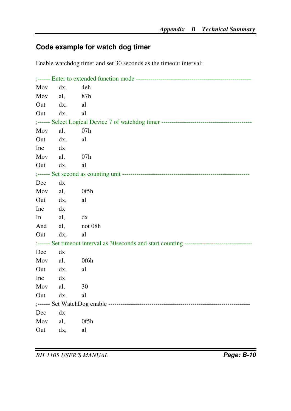## **Code example for watch dog timer**

Enable watchdog timer and set 30 seconds as the timeout interval:

| Mov             | dx,       | 4eh                                                                                      |  |  |  |
|-----------------|-----------|------------------------------------------------------------------------------------------|--|--|--|
| Mov             | al,       | 87h                                                                                      |  |  |  |
|                 | $Out$ dx, | al                                                                                       |  |  |  |
| Out             | dx,       | al                                                                                       |  |  |  |
|                 |           |                                                                                          |  |  |  |
| Mov             | al,       | 07h                                                                                      |  |  |  |
| Out dx,         | al        |                                                                                          |  |  |  |
| Inc             | dx        |                                                                                          |  |  |  |
| Mov al,         |           | 07h                                                                                      |  |  |  |
| Out             | dx,       | al                                                                                       |  |  |  |
|                 |           |                                                                                          |  |  |  |
| Dec             | dx        |                                                                                          |  |  |  |
| Mov             | al,       | 0f5h                                                                                     |  |  |  |
| $Out$ dx,       |           | al                                                                                       |  |  |  |
| $Inc$ $dx$      |           |                                                                                          |  |  |  |
| $\ln$ and $\ln$ | al,<br>dx |                                                                                          |  |  |  |
| And             |           | al, not 08h                                                                              |  |  |  |
| Out             | dx,       | al                                                                                       |  |  |  |
|                 |           | ;------ Set timeout interval as 30 seconds and start counting -------------------------- |  |  |  |
| Dec             | dx        |                                                                                          |  |  |  |
| Mov             | al,       | 0f6h                                                                                     |  |  |  |
| Out dx,         |           | al                                                                                       |  |  |  |
| Inc dx          |           |                                                                                          |  |  |  |
| Mov             | al,       | 30                                                                                       |  |  |  |
| Out             | dx,       | al                                                                                       |  |  |  |
|                 |           |                                                                                          |  |  |  |
| Dec             | dx        |                                                                                          |  |  |  |
| Mov             | al,       | 0f5h                                                                                     |  |  |  |
| Out             | dx,       | al                                                                                       |  |  |  |

*BH-1105 USER*′*S MANUAL* **Page: B-10**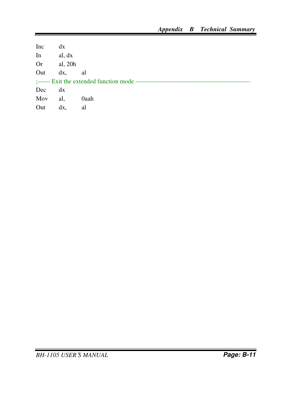| Inc       | dx        |      |
|-----------|-----------|------|
| In        | al, dx    |      |
| <b>Or</b> | al, 20h   |      |
| Out       | $dx$ , al |      |
|           |           |      |
| Dec       | dx        |      |
| Mov       | al,       | 0aah |
| Out       | dx.       | al   |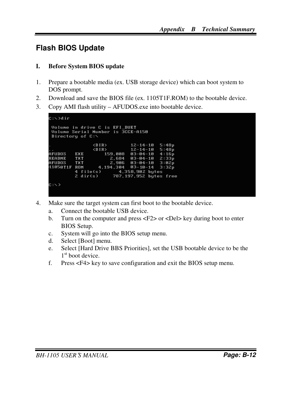## **Flash BIOS Update**

#### **I. Before System BIOS update**

- 1. Prepare a bootable media (ex. USB storage device) which can boot system to DOS prompt.
- 2. Download and save the BIOS file (ex. 1105T1F.ROM) to the bootable device.
- 3. Copy AMI flash utility AFUDOS.exe into bootable device.

```
E: \diagup dir
 Volume in drive C is EFI_DUET<br>Volume Serial Number is 3CCE-A150
 Directory of C:\
                     \langleDIR>
                                        12 - 14 - 105:48p12 - 14 - 10\langleDIR>
                                                      5:48p. .<br>AFUDOS
            EXE
                           159,008
                                       03 - 04 - 104:16p2,684<br>
2,986README
            TXT
                                       03 - 04 - 102:33p\bar{3}:\bar{0}2\bar{p}AFUDOS
             TXT
                                       03 - 04 - 1011050T1F ROM
                        4,194,304
                                       03 - 10 - 143:32p4 file(s)
                                 4,358,902 bytes
                               787,197,952 bytes free
            2 \text{ dir}(s)C: S >
```
- 4. Make sure the target system can first boot to the bootable device.
	- a. Connect the bootable USB device.
	- b. Turn on the computer and press <F2> or <Del> key during boot to enter BIOS Setup.
	- c. System will go into the BIOS setup menu.
	- d. Select [Boot] menu.
	- e. Select [Hard Drive BBS Priorities], set the USB bootable device to be the 1<sup>st</sup> boot device.
	- f. Press <F4> key to save configuration and exit the BIOS setup menu.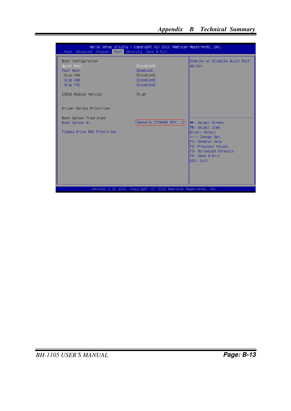| Main Advanced Chipset Boot Security Save & Exit                                                           | Aptio Setup Utility - Copyright (C) 2012 American Megatrends, Inc.                |                                                                                                                                                                                            |  |  |
|-----------------------------------------------------------------------------------------------------------|-----------------------------------------------------------------------------------|--------------------------------------------------------------------------------------------------------------------------------------------------------------------------------------------|--|--|
| Boot Configuration<br>Quiet Boot<br>Fast Boot<br>Skip VGA<br>Skip USB<br>Skip PS2<br>CSM16 Module Version | [Disabled]<br><b>[Enabled]</b><br>[Disabled]<br>[Disabled]<br>[Disabled]<br>70.80 | Enables or disables Quiet Boot<br>option                                                                                                                                                   |  |  |
| Driver Option Priorities<br>Boot Option Priorities<br>Boot Option #1<br>Floppy Drive BBS Priorities       | [Generic STORAGE DEV]                                                             | <b>Ht: Select Screen</b><br>$1!$ : Select Item<br>Fnter: Select<br>$+/-:$ Change Opt.<br>F1: General Help<br>F2: Previous Values<br>F3: Optimized Defaults<br>F4: Save & Exit<br>ESC: Exit |  |  |
|                                                                                                           | Version 2.15.1226. Copyright (C) 2012 American Megatrends, Inc.                   |                                                                                                                                                                                            |  |  |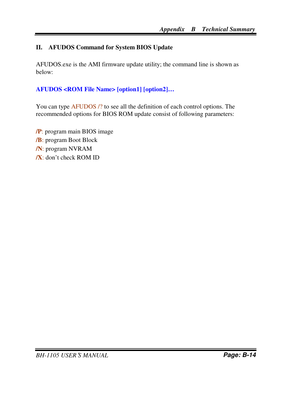#### **II. AFUDOS Command for System BIOS Update**

AFUDOS.exe is the AMI firmware update utility; the command line is shown as below:

#### **AFUDOS <ROM File Name> [option1] [option2]…**

You can type AFUDOS /? to see all the definition of each control options. The recommended options for BIOS ROM update consist of following parameters:

**/P**: program main BIOS image **/B**: program Boot Block **/N**: program NVRAM **/X**: don't check ROM ID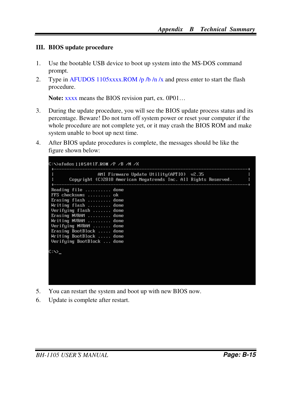#### **III. BIOS update procedure**

- 1. Use the bootable USB device to boot up system into the MS-DOS command prompt.
- 2. Type in AFUDOS 1105xxxx.ROM /p /b /n /x and press enter to start the flash procedure.

**Note:** xxxx means the BIOS revision part, ex. 0P01…

- 3. During the update procedure, you will see the BIOS update process status and its percentage. Beware! Do not turn off system power or reset your computer if the whole procedure are not complete yet, or it may crash the BIOS ROM and make system unable to boot up next time.
- 4. After BIOS update procedures is complete, the messages should be like the figure shown below:

|                                                                                                                                                                                                                                                                          |  | AMI Firmware Update Utility $(APTIO)$ v2.35<br>Copyright (C)2010 American Megatrends Inc. All Rights Reserved. |  |  |  |
|--------------------------------------------------------------------------------------------------------------------------------------------------------------------------------------------------------------------------------------------------------------------------|--|----------------------------------------------------------------------------------------------------------------|--|--|--|
| Reading file  done<br>FFS checksums  ok<br>Erasing flash  done<br>Writing flash  done<br>Verifying flash  done<br>Erasing NURAM  done<br>Writing NVRAM  done<br>Verifying NVRAM  done<br>Erasing BootBlock  done<br>Writing BootBlock  done<br>Verifying BootBlock  done |  |                                                                                                                |  |  |  |
| $C: \searrow$                                                                                                                                                                                                                                                            |  |                                                                                                                |  |  |  |

- 5. You can restart the system and boot up with new BIOS now.
- 6. Update is complete after restart.